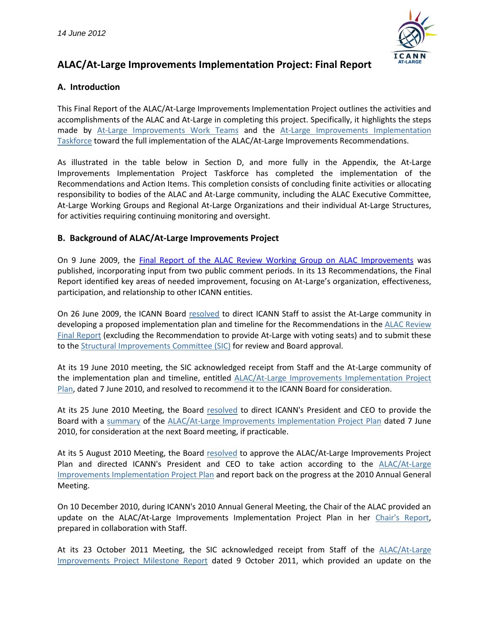

## **A. Introduction**

This Final Report of the ALAC/At-Large Improvements Implementation Project outlines the activities and accomplishments of the ALAC and At-Large in completing this project. Specifically, it highlights the steps made by [At-Large Improvements Work Teams](https://community.icann.org/display/Improve/At-Large+Improvements+Workspace) and the [At-Large Improvements Implementation](https://community.icann.org/display/Improve/At-Large+Improvements+Project+Taskforce+Workspace)  [Taskforce](https://community.icann.org/display/Improve/At-Large+Improvements+Project+Taskforce+Workspace) toward the full implementation of the ALAC/At-Large Improvements Recommendations.

As illustrated in the table below in Section D, and more fully in the Appendix, the At-Large Improvements Implementation Project Taskforce has completed the implementation of the Recommendations and Action Items. This completion consists of concluding finite activities or allocating responsibility to bodies of the ALAC and At-Large community, including the ALAC Executive Committee, At-Large Working Groups and Regional At-Large Organizations and their individual At-Large Structures, for activities requiring continuing monitoring and oversight.

### **B. Background of ALAC/At-Large Improvements Project**

On 9 June 2009, the [Final Report of the ALAC Review Working Group on ALAC Improvements](http://www.icann.org/en/reviews/alac/final-report-alac-review-09jun09-en.pdf) was published, incorporating input from two public comment periods. In its 13 Recommendations, the Final Report identified key areas of needed improvement, focusing on At-Large's organization, effectiveness, participation, and relationship to other ICANN entities.

On 26 June 2009, the ICANN Board [resolved](http://www.icann.org/en/minutes/resolutions-26jun09.htm#12) to direct ICANN Staff to assist the At-Large community in developing a proposed implementation plan and timeline for the Recommendations in the ALAC Review [Final Report](http://www.icann.org/en/reviews/alac/final-report-alac-review-09jun09-en.pdf) (excluding the Recommendation to provide At-Large with voting seats) and to submit these to th[e Structural Improvements](http://www.icann.org/en/committees/improvements/) Committee (SIC) for review and Board approval.

At its 19 June 2010 meeting, the SIC acknowledged receipt from Staff and the At-Large community of the implementation plan and timeline, entitled [ALAC/At-Large Improvements Implementation Project](https://community.icann.org/download/attachments/2950348/ALAC-At-Large+Improvements+Implementation+Project+Plan+%287+June+2010%29.pdf?version=1&modificationDate=1288049481000)  [Plan,](https://community.icann.org/download/attachments/2950348/ALAC-At-Large+Improvements+Implementation+Project+Plan+%287+June+2010%29.pdf?version=1&modificationDate=1288049481000) dated 7 June 2010, and resolved to recommend it to the ICANN Board for consideration.

At its 25 June 2010 Meeting, the Board [resolved](https://www.icann.org/en/minutes/resolutions-25jun10-en.htm#1.8) to direct ICANN's President and CEO to provide the Board with a [summary](https://community.icann.org/download/attachments/2950348/ALAC,+At-Large+Improvements+Implementation+Project+Plan+-+Summary+%2821+Jul+2010%29.pdf?version=1&modificationDate=1288049461000) of the [ALAC/At-Large Improvements Implementation Project Plan](https://community.icann.org/download/attachments/2950348/ALAC-At-Large+Improvements+Implementation+Project+Plan+%287+June+2010%29.pdf?version=1&modificationDate=1288049481000) dated 7 June 2010, for consideration at the next Board meeting, if practicable.

At its 5 August 2010 Meeting, the Board [resolved](http://www.icann.org/en/minutes/resolutions-05aug10-en.htm#2.h) to approve the ALAC/At-Large Improvements Project Plan and directed ICANN's President and CEO to take action according to the ALAC/At-Large [Improvements Implementation Project Plan](https://community.icann.org/download/attachments/2950348/ALAC-At-Large+Improvements+Implementation+Project+Plan+%287+June+2010%29.pdf?version=1&modificationDate=1288049481000) and report back on the progress at the 2010 Annual General Meeting.

On 10 December 2010, during ICANN's 2010 Annual General Meeting, the Chair of the ALAC provided an update on the ALAC/At-Large Improvements Implementation Project Plan in her [Chair's Report,](https://community.icann.org/display/atlarge/Chair%27s+Report+-+Cartagena+Meeting+-+10.12.2010) prepared in collaboration with Staff.

At its 23 October 2011 Meeting, the SIC acknowledged receipt from Staff of the ALAC/At-Large [Improvements Project Milestone Report](https://community.icann.org/download/attachments/28902780/ALAC+Improvements+Project+Milestone+Report_9+Oct+2011+%28w+staff+intro%29.pdf) dated 9 October 2011, which provided an update on the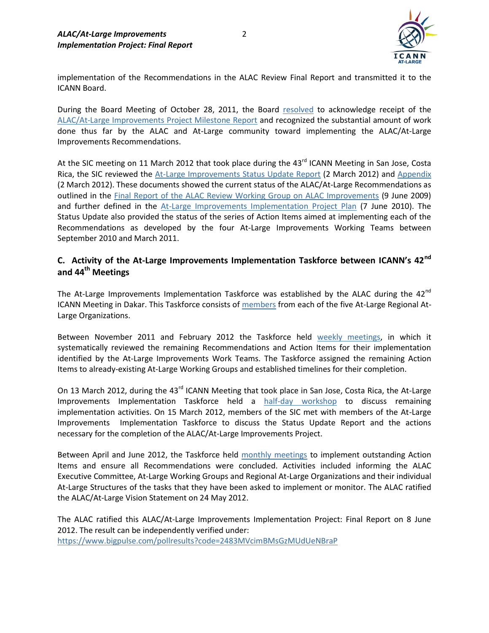

implementation of the Recommendations in the ALAC Review Final Report and transmitted it to the ICANN Board.

During the Board Meeting of October 28, 2011, the Board [resolved](http://www.icann.org/en/minutes/resolutions-28oct11-en.htm#1.6) to acknowledge receipt of the [ALAC/At-Large Improvements Project Milestone Report](https://community.icann.org/download/attachments/28902780/ALAC+Improvements+Project+Milestone+Report_9+Oct+2011+%28w+staff+intro%29.pdf) and recognized the substantial amount of work done thus far by the ALAC and At-Large community toward implementing the ALAC/At-Large Improvements Recommendations.

At the SIC meeting on 11 March 2012 that took place during the 43<sup>rd</sup> ICANN Meeting in San Jose, Costa Rica, the SIC reviewed the [At-Large Improvements Status Update Report](https://community.icann.org/download/attachments/30345801/At-Large+Improvements+Implementation+Project+Status+Report+-+Feb+2012+Final.pdf?version=1&modificationDate=1331851009840) (2 March 2012) and [Appendix](https://community.icann.org/download/attachments/30345801/At-Large+Improvements+Implementation+Project+Status+Update+Appendix+-+Final+March+2012.pdf?version=1&modificationDate=1331851061016) (2 March 2012). These documents showed the current status of the ALAC/At-Large Recommendations as outlined in the [Final Report of the ALAC Review Working Group on ALAC Improvements](http://www.icann.org/en/reviews/alac/final-report-alac-review-09jun09-en.pdf) (9 June 2009) and further defined in the [At-Large Improvements Implementation Project Plan](https://community.icann.org/download/attachments/2950348/ALAC-At-Large+Improvements+Implementation+Project+Plan+%287+June+2010%29.pdf?version=1&modificationDate=1288049481000) (7 June 2010). The Status Update also provided the status of the series of Action Items aimed at implementing each of the Recommendations as developed by the four At-Large Improvements Working Teams between September 2010 and March 2011.

## **C. Activity of the At-Large Improvements Implementation Taskforce between ICANN's 42nd and 44th Meetings**

The At-Large Improvements Implementation Taskforce was established by the ALAC during the  $42^{nd}$ ICANN Meeting in Dakar. This Taskforce consists of [members](https://community.icann.org/display/Improve/At-Large+Improvements+Taskforce+Membership+page) from each of the five At-Large Regional At-Large Organizations.

Between November 2011 and February 2012 the Taskforce held [weekly meetings,](https://community.icann.org/display/Improve/At-Large+Improvements+Project+Taskforce+Meetings) in which it systematically reviewed the remaining Recommendations and Action Items for their implementation identified by the At-Large Improvements Work Teams. The Taskforce assigned the remaining Action Items to already‐existing At‐Large Working Groups and established timelines for their completion.

On 13 March 2012, during the 43<sup>rd</sup> ICANN Meeting that took place in San Jose, Costa Rica, the At-Large Improvements Implementation Taskforce held a [half-day workshop](https://community.icann.org/display/Improve/At-Large+Improvements+Implementation+Taskforce+Workshop+13-03-2012) to discuss remaining implementation activities. On 15 March 2012, members of the SIC met with members of the At-Large Improvements Implementation Taskforce to discuss the Status Update Report and the actions necessary for the completion of the ALAC/At-Large Improvements Project.

Between April and June 2012, the Taskforce held [monthly meetings](https://community.icann.org/display/Improve/At-Large+Improvements+Project+Taskforce+Meetings) to implement outstanding Action Items and ensure all Recommendations were concluded. Activities included informing the ALAC Executive Committee, At-Large Working Groups and Regional At-Large Organizations and their individual At-Large Structures of the tasks that they have been asked to implement or monitor. The ALAC ratified the ALAC/At-Large Vision Statement on 24 May 2012.

The ALAC ratified this ALAC/At-Large Improvements Implementation Project: Final Report on 8 June 2012. The result can be independently verified under: <https://www.bigpulse.com/pollresults?code=2483MVcimBMsGzMUdUeNBraP>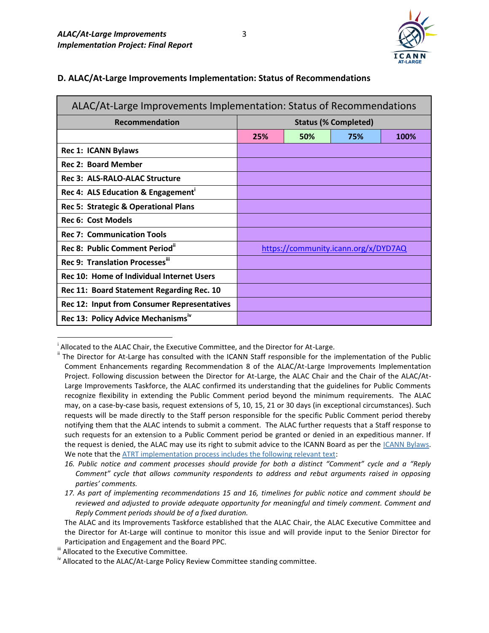

### **D. ALAC/At-Large Improvements Implementation: Status of Recommendations**

| ALAC/At-Large Improvements Implementation: Status of Recommendations |     |     |                                      |      |
|----------------------------------------------------------------------|-----|-----|--------------------------------------|------|
| <b>Recommendation</b>                                                |     |     | <b>Status (% Completed)</b>          |      |
|                                                                      | 25% | 50% | 75%                                  | 100% |
| <b>Rec 1: ICANN Bylaws</b>                                           |     |     |                                      |      |
| <b>Rec 2: Board Member</b>                                           |     |     |                                      |      |
| <b>Rec 3: ALS-RALO-ALAC Structure</b>                                |     |     |                                      |      |
| Rec 4: ALS Education & Engagement <sup>1</sup>                       |     |     |                                      |      |
| Rec 5: Strategic & Operational Plans                                 |     |     |                                      |      |
| <b>Rec 6: Cost Models</b>                                            |     |     |                                      |      |
| <b>Rec 7: Communication Tools</b>                                    |     |     |                                      |      |
| Rec 8: Public Comment Period"                                        |     |     | https://community.icann.org/x/DYD7AQ |      |
| Rec 9: Translation Processes"                                        |     |     |                                      |      |
| Rec 10: Home of Individual Internet Users                            |     |     |                                      |      |
| Rec 11: Board Statement Regarding Rec. 10                            |     |     |                                      |      |
| <b>Rec 12: Input from Consumer Representatives</b>                   |     |     |                                      |      |
| Rec 13: Policy Advice Mechanisms <sup>iv</sup>                       |     |     |                                      |      |

i Allocated to the ALAC Chair, the Executive Committee, and the Director for At-Large.

 $\overline{a}$ 

The Director for At-Large has consulted with the ICANN Staff responsible for the implementation of the Public Comment Enhancements regarding Recommendation 8 of the ALAC/At-Large Improvements Implementation Project. Following discussion between the Director for At-Large, the ALAC Chair and the Chair of the ALAC/At-Large Improvements Taskforce, the ALAC confirmed its understanding that the guidelines for Public Comments recognize flexibility in extending the Public Comment period beyond the minimum requirements. The ALAC may, on a case-by-case basis, request extensions of 5, 10, 15, 21 or 30 days (in exceptional circumstances). Such requests will be made directly to the Staff person responsible for the specific Public Comment period thereby notifying them that the ALAC intends to submit a comment. The ALAC further requests that a Staff response to such requests for an extension to a Public Comment period be granted or denied in an expeditious manner. If the request is denied, the ALAC may use its right to submit advice to the ICANN Board as per the [ICANN Bylaws.](http://www.icann.org/en/about/governance/bylaws) We note that the [ATRT implementation process includes the following relevant text:](http://www.icann.org/en/about/aoc-review/atrt/final-recommendations-31dec10-en.pdf)

*<sup>16.</sup> Public notice and comment processes should provide for both a distinct "Comment" cycle and a "Reply Comment" cycle that allows community respondents to address and rebut arguments raised in opposing parties' comments.*

*<sup>17.</sup> As part of implementing recommendations 15 and 16, timelines for public notice and comment should be reviewed and adjusted to provide adequate opportunity for meaningful and timely comment. Comment and Reply Comment periods should be of a fixed duration.*

The ALAC and its Improvements Taskforce established that the ALAC Chair, the ALAC Executive Committee and the Director for At-Large will continue to monitor this issue and will provide input to the Senior Director for Participation and Engagement and the Board PPC.

III Allocated to the Executive Committee.

iv Allocated to the ALAC/At-Large Policy Review Committee standing committee.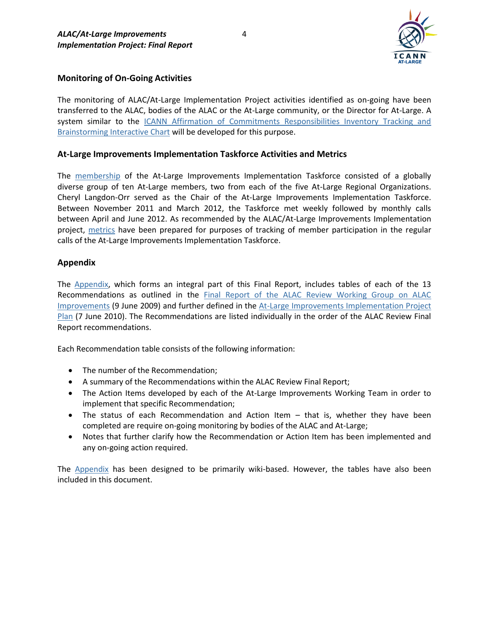

### **Monitoring of On-Going Activities**

The monitoring of ALAC/At-Large Implementation Project activities identified as on-going have been transferred to the ALAC, bodies of the ALAC or the At-Large community, or the Director for At-Large. A system similar to the ICANN Affirmation of Commitments Responsibilities Inventory Tracking and [Brainstorming Interactive Chart](http://aoctracking.icann.org/) will be developed for this purpose.

#### **At-Large Improvements Implementation Taskforce Activities and Metrics**

The [membership](https://community.icann.org/display/Improve/At-Large+Improvements+Taskforce+Membership+page) of the At-Large Improvements Implementation Taskforce consisted of a globally diverse group of ten At-Large members, two from each of the five At-Large Regional Organizations. Cheryl Langdon-Orr served as the Chair of the At-Large Improvements Implementation Taskforce. Between November 2011 and March 2012, the Taskforce met weekly followed by monthly calls between April and June 2012. As recommended by the ALAC/At-Large Improvements Implementation project, [metrics](https://community.icann.org/display/Improve/At-Large+Improvement+Implementation+Taskforce+Member+Metrics) have been prepared for purposes of tracking of member participation in the regular calls of the At-Large Improvements Implementation Taskforce.

#### **Appendix**

The [Appendix,](https://community.icann.org/display/Improve/At-Large+Improvements+Recommendations+Workspace) which forms an integral part of this Final Report, includes tables of each of the 13 Recommendations as outlined in the [Final Report of the ALAC Review Working Group on ALAC](http://www.icann.org/en/reviews/alac/final-report-alac-review-09jun09-en.pdf)  [Improvements](http://www.icann.org/en/reviews/alac/final-report-alac-review-09jun09-en.pdf) (9 June 2009) and further defined in the [At-Large Improvements Implementation Project](https://community.icann.org/download/attachments/2950348/ALAC-At-Large+Improvements+Implementation+Project+Plan+%287+June+2010%29.pdf?version=1&modificationDate=1288049481000)  [Plan](https://community.icann.org/download/attachments/2950348/ALAC-At-Large+Improvements+Implementation+Project+Plan+%287+June+2010%29.pdf?version=1&modificationDate=1288049481000) (7 June 2010). The Recommendations are listed individually in the order of the ALAC Review Final Report recommendations.

Each Recommendation table consists of the following information:

- The number of the Recommendation;
- A summary of the Recommendations within the ALAC Review Final Report;
- The Action Items developed by each of the At-Large Improvements Working Team in order to implement that specific Recommendation;
- The status of each Recommendation and Action Item that is, whether they have been completed are require on-going monitoring by bodies of the ALAC and At‐Large;
- Notes that further clarify how the Recommendation or Action Item has been implemented and any on-going action required.

The [Appendix](https://community.icann.org/display/Improve/At-Large+Improvements+Recommendations+Workspace) has been designed to be primarily wiki-based. However, the tables have also been included in this document.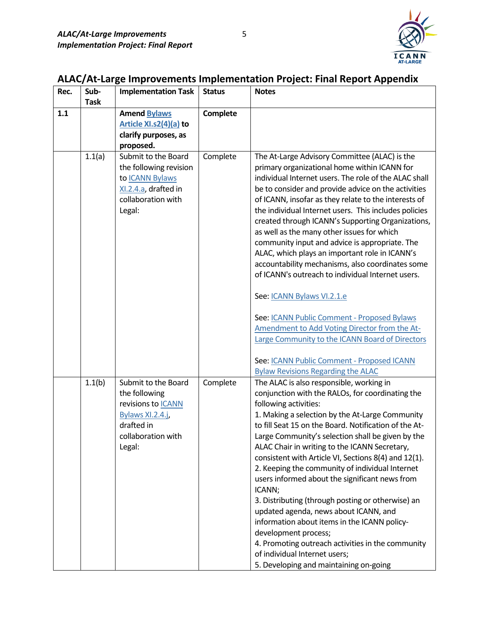

| Rec. | Sub-<br><b>Task</b> | <b>Implementation Task</b>                                                                                                          | <b>Status</b> | <b>Notes</b>                                                                                                                                                                                                                                                                                                                                                                                                                                                                                                                                                                                                                                                                                                                                                                                                                                                                                                               |
|------|---------------------|-------------------------------------------------------------------------------------------------------------------------------------|---------------|----------------------------------------------------------------------------------------------------------------------------------------------------------------------------------------------------------------------------------------------------------------------------------------------------------------------------------------------------------------------------------------------------------------------------------------------------------------------------------------------------------------------------------------------------------------------------------------------------------------------------------------------------------------------------------------------------------------------------------------------------------------------------------------------------------------------------------------------------------------------------------------------------------------------------|
| 1.1  |                     | <b>Amend Bylaws</b><br>Article XI.s2(4)(a) to<br>clarify purposes, as<br>proposed.                                                  | Complete      |                                                                                                                                                                                                                                                                                                                                                                                                                                                                                                                                                                                                                                                                                                                                                                                                                                                                                                                            |
|      | 1.1(a)              | Submit to the Board<br>the following revision<br>to ICANN Bylaws<br>XI.2.4.a, drafted in<br>collaboration with<br>Legal:            | Complete      | The At-Large Advisory Committee (ALAC) is the<br>primary organizational home within ICANN for<br>individual Internet users. The role of the ALAC shall<br>be to consider and provide advice on the activities<br>of ICANN, insofar as they relate to the interests of<br>the individual Internet users. This includes policies<br>created through ICANN's Supporting Organizations,<br>as well as the many other issues for which<br>community input and advice is appropriate. The<br>ALAC, which plays an important role in ICANN's<br>accountability mechanisms, also coordinates some<br>of ICANN's outreach to individual Internet users.<br>See: ICANN Bylaws VI.2.1.e<br>See: ICANN Public Comment - Proposed Bylaws<br>Amendment to Add Voting Director from the At-<br>Large Community to the ICANN Board of Directors<br>See: ICANN Public Comment - Proposed ICANN<br><b>Bylaw Revisions Regarding the ALAC</b> |
|      | 1.1(b)              | Submit to the Board<br>the following<br>revisions to <b>ICANN</b><br>Bylaws XI.2.4.j,<br>drafted in<br>collaboration with<br>Legal: | Complete      | The ALAC is also responsible, working in<br>conjunction with the RALOs, for coordinating the<br>following activities:<br>1. Making a selection by the At-Large Community<br>to fill Seat 15 on the Board. Notification of the At-<br>Large Community's selection shall be given by the<br>ALAC Chair in writing to the ICANN Secretary,<br>consistent with Article VI, Sections 8(4) and 12(1).<br>2. Keeping the community of individual Internet<br>users informed about the significant news from<br>ICANN;<br>3. Distributing (through posting or otherwise) an<br>updated agenda, news about ICANN, and<br>information about items in the ICANN policy-<br>development process;<br>4. Promoting outreach activities in the community<br>of individual Internet users;<br>5. Developing and maintaining on-going                                                                                                       |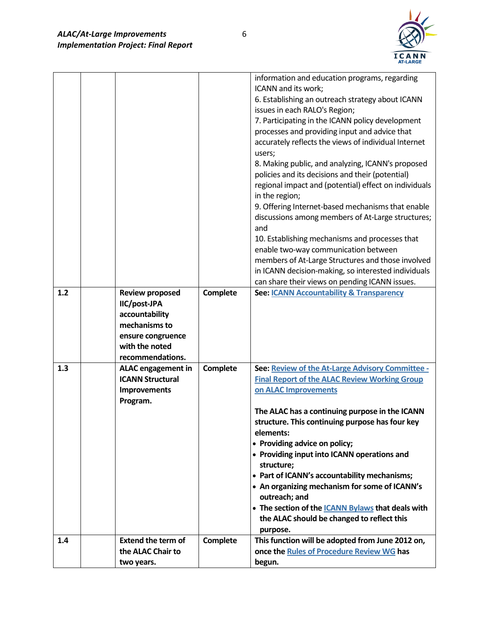

|     |                           |          | information and education programs, regarding                                |
|-----|---------------------------|----------|------------------------------------------------------------------------------|
|     |                           |          | ICANN and its work;                                                          |
|     |                           |          | 6. Establishing an outreach strategy about ICANN                             |
|     |                           |          | issues in each RALO's Region;                                                |
|     |                           |          | 7. Participating in the ICANN policy development                             |
|     |                           |          | processes and providing input and advice that                                |
|     |                           |          | accurately reflects the views of individual Internet                         |
|     |                           |          | users;                                                                       |
|     |                           |          | 8. Making public, and analyzing, ICANN's proposed                            |
|     |                           |          | policies and its decisions and their (potential)                             |
|     |                           |          | regional impact and (potential) effect on individuals                        |
|     |                           |          | in the region;                                                               |
|     |                           |          | 9. Offering Internet-based mechanisms that enable                            |
|     |                           |          | discussions among members of At-Large structures;                            |
|     |                           |          | and                                                                          |
|     |                           |          | 10. Establishing mechanisms and processes that                               |
|     |                           |          | enable two-way communication between                                         |
|     |                           |          | members of At-Large Structures and those involved                            |
|     |                           |          | in ICANN decision-making, so interested individuals                          |
|     |                           |          | can share their views on pending ICANN issues.                               |
| 1.2 | <b>Review proposed</b>    | Complete | See: <b>ICANN Accountability &amp; Transparency</b>                          |
|     | IIC/post-JPA              |          |                                                                              |
|     | accountability            |          |                                                                              |
|     | mechanisms to             |          |                                                                              |
|     | ensure congruence         |          |                                                                              |
|     | with the noted            |          |                                                                              |
|     | recommendations.          |          |                                                                              |
| 1.3 | <b>ALAC</b> engagement in | Complete | See: Review of the At-Large Advisory Committee -                             |
|     | <b>ICANN Structural</b>   |          | <b>Final Report of the ALAC Review Working Group</b>                         |
|     | <b>Improvements</b>       |          | on ALAC Improvements                                                         |
|     | Program.                  |          |                                                                              |
|     |                           |          | The ALAC has a continuing purpose in the ICANN                               |
|     |                           |          | structure. This continuing purpose has four key                              |
|     |                           |          | elements:                                                                    |
|     |                           |          | • Providing advice on policy;<br>• Providing input into ICANN operations and |
|     |                           |          | structure;                                                                   |
|     |                           |          | • Part of ICANN's accountability mechanisms;                                 |
|     |                           |          | • An organizing mechanism for some of ICANN's                                |
|     |                           |          | outreach; and                                                                |
|     |                           |          | • The section of the <b>ICANN Bylaws</b> that deals with                     |
|     |                           |          | the ALAC should be changed to reflect this                                   |
|     |                           |          | purpose.                                                                     |
| 1.4 | <b>Extend the term of</b> | Complete | This function will be adopted from June 2012 on,                             |
|     |                           |          |                                                                              |
|     | the ALAC Chair to         |          | once the Rules of Procedure Review WG has                                    |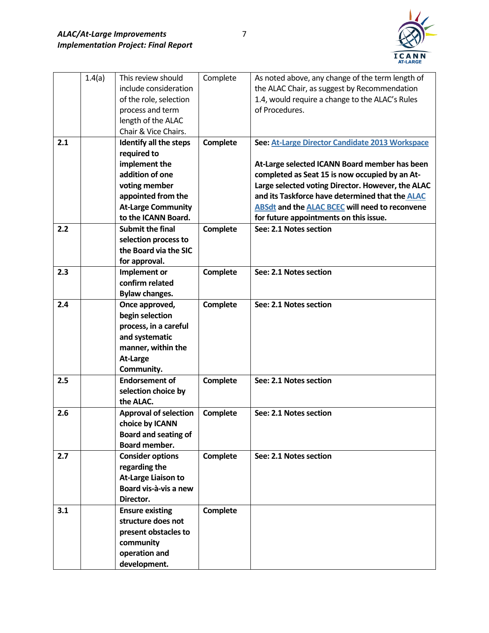

|     | 1.4(a) | This review should           | Complete        | As noted above, any change of the term length of      |
|-----|--------|------------------------------|-----------------|-------------------------------------------------------|
|     |        | include consideration        |                 | the ALAC Chair, as suggest by Recommendation          |
|     |        | of the role, selection       |                 | 1.4, would require a change to the ALAC's Rules       |
|     |        | process and term             |                 | of Procedures.                                        |
|     |        | length of the ALAC           |                 |                                                       |
|     |        | Chair & Vice Chairs.         |                 |                                                       |
| 2.1 |        | Identify all the steps       | Complete        | See: At-Large Director Candidate 2013 Workspace       |
|     |        | required to                  |                 |                                                       |
|     |        | implement the                |                 | At-Large selected ICANN Board member has been         |
|     |        | addition of one              |                 | completed as Seat 15 is now occupied by an At-        |
|     |        | voting member                |                 | Large selected voting Director. However, the ALAC     |
|     |        | appointed from the           |                 | and its Taskforce have determined that the ALAC       |
|     |        | <b>At-Large Community</b>    |                 | <b>ABSdt and the ALAC BCEC will need to reconvene</b> |
|     |        | to the ICANN Board.          |                 | for future appointments on this issue.                |
| 2.2 |        | <b>Submit the final</b>      | Complete        | See: 2.1 Notes section                                |
|     |        | selection process to         |                 |                                                       |
|     |        | the Board via the SIC        |                 |                                                       |
|     |        | for approval.                |                 |                                                       |
| 2.3 |        | Implement or                 | Complete        | See: 2.1 Notes section                                |
|     |        | confirm related              |                 |                                                       |
|     |        | <b>Bylaw changes.</b>        |                 |                                                       |
| 2.4 |        | Once approved,               | <b>Complete</b> | See: 2.1 Notes section                                |
|     |        | begin selection              |                 |                                                       |
|     |        | process, in a careful        |                 |                                                       |
|     |        | and systematic               |                 |                                                       |
|     |        | manner, within the           |                 |                                                       |
|     |        | At-Large                     |                 |                                                       |
|     |        | Community.                   |                 |                                                       |
| 2.5 |        | <b>Endorsement of</b>        | Complete        | See: 2.1 Notes section                                |
|     |        | selection choice by          |                 |                                                       |
|     |        | the ALAC.                    |                 |                                                       |
| 2.6 |        | <b>Approval of selection</b> | Complete        | See: 2.1 Notes section                                |
|     |        | choice by ICANN              |                 |                                                       |
|     |        | <b>Board and seating of</b>  |                 |                                                       |
|     |        | Board member.                |                 |                                                       |
| 2.7 |        | <b>Consider options</b>      | Complete        | See: 2.1 Notes section                                |
|     |        | regarding the                |                 |                                                       |
|     |        | <b>At-Large Liaison to</b>   |                 |                                                       |
|     |        | Board vis-à-vis a new        |                 |                                                       |
|     |        | Director.                    |                 |                                                       |
| 3.1 |        | <b>Ensure existing</b>       | <b>Complete</b> |                                                       |
|     |        | structure does not           |                 |                                                       |
|     |        | present obstacles to         |                 |                                                       |
|     |        | community                    |                 |                                                       |
|     |        | operation and                |                 |                                                       |
|     |        | development.                 |                 |                                                       |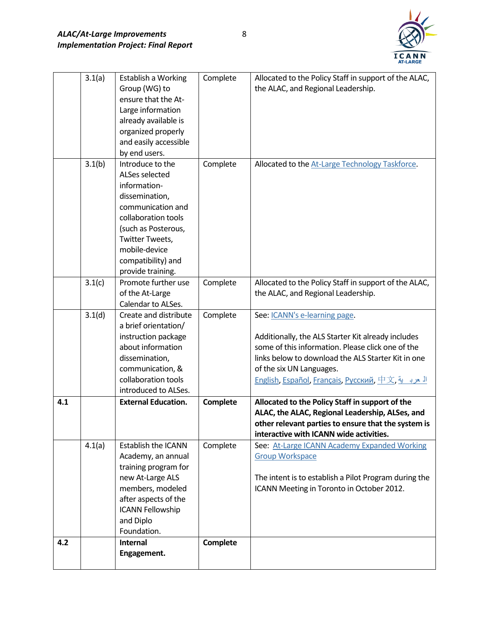

|     | 3.1(a) | Establish a Working            | Complete        | Allocated to the Policy Staff in support of the ALAC,     |
|-----|--------|--------------------------------|-----------------|-----------------------------------------------------------|
|     |        | Group (WG) to                  |                 | the ALAC, and Regional Leadership.                        |
|     |        | ensure that the At-            |                 |                                                           |
|     |        | Large information              |                 |                                                           |
|     |        | already available is           |                 |                                                           |
|     |        | organized properly             |                 |                                                           |
|     |        | and easily accessible          |                 |                                                           |
|     |        | by end users.                  |                 |                                                           |
|     | 3.1(b) | Introduce to the               | Complete        | Allocated to the At-Large Technology Taskforce.           |
|     |        | ALSes selected                 |                 |                                                           |
|     |        | information-                   |                 |                                                           |
|     |        | dissemination,                 |                 |                                                           |
|     |        | communication and              |                 |                                                           |
|     |        | collaboration tools            |                 |                                                           |
|     |        | (such as Posterous,            |                 |                                                           |
|     |        | Twitter Tweets,                |                 |                                                           |
|     |        | mobile-device                  |                 |                                                           |
|     |        | compatibility) and             |                 |                                                           |
|     |        | provide training.              |                 |                                                           |
|     | 3.1(c) | Promote further use            | Complete        | Allocated to the Policy Staff in support of the ALAC,     |
|     |        | of the At-Large                |                 | the ALAC, and Regional Leadership.                        |
|     |        | Calendar to ALSes.             |                 |                                                           |
|     | 3.1(d) | Create and distribute          | Complete        | See: ICANN's e-learning page.                             |
|     |        | a brief orientation/           |                 |                                                           |
|     |        | instruction package            |                 | Additionally, the ALS Starter Kit already includes        |
|     |        | about information              |                 | some of this information. Please click one of the         |
|     |        | dissemination,                 |                 | links below to download the ALS Starter Kit in one        |
|     |        | communication, &               |                 | of the six UN Languages.                                  |
|     |        | collaboration tools            |                 | <u>English, Español, Français, Русский, 中文, المحرب ية</u> |
|     |        | introduced to ALSes.           |                 |                                                           |
| 4.1 |        | <b>External Education.</b>     | <b>Complete</b> | Allocated to the Policy Staff in support of the           |
|     |        |                                |                 | ALAC, the ALAC, Regional Leadership, ALSes, and           |
|     |        |                                |                 | other relevant parties to ensure that the system is       |
|     |        |                                |                 | interactive with ICANN wide activities.                   |
|     | 4.1(a) | <b>Establish the ICANN</b>     | Complete        | See: At-Large ICANN Academy Expanded Working              |
|     |        | Academy, an annual             |                 | <b>Group Workspace</b>                                    |
|     |        | training program for           |                 |                                                           |
|     |        | new At-Large ALS               |                 | The intent is to establish a Pilot Program during the     |
|     |        | members, modeled               |                 | ICANN Meeting in Toronto in October 2012.                 |
|     |        | after aspects of the           |                 |                                                           |
|     |        | <b>ICANN Fellowship</b>        |                 |                                                           |
|     |        | and Diplo                      |                 |                                                           |
| 4.2 |        | Foundation.<br><b>Internal</b> | Complete        |                                                           |
|     |        | Engagement.                    |                 |                                                           |
|     |        |                                |                 |                                                           |
|     |        |                                |                 |                                                           |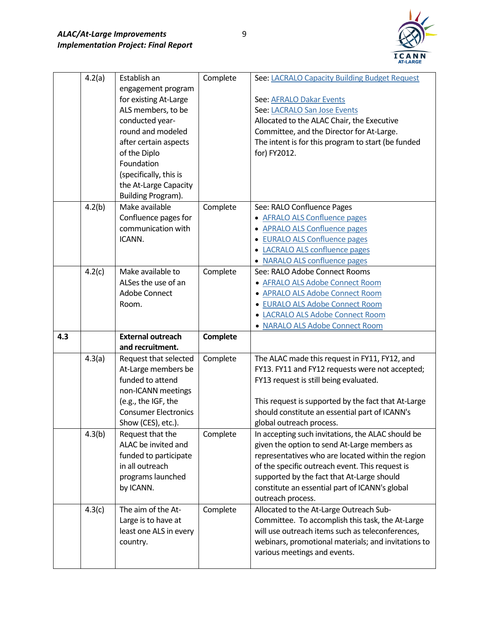

|     | 4.2(a) | Establish an                | Complete | See: LACRALO Capacity Building Budget Request                                       |
|-----|--------|-----------------------------|----------|-------------------------------------------------------------------------------------|
|     |        | engagement program          |          |                                                                                     |
|     |        | for existing At-Large       |          | See: AFRALO Dakar Events                                                            |
|     |        | ALS members, to be          |          | See: LACRALO San Jose Events                                                        |
|     |        | conducted year-             |          | Allocated to the ALAC Chair, the Executive                                          |
|     |        | round and modeled           |          | Committee, and the Director for At-Large.                                           |
|     |        | after certain aspects       |          | The intent is for this program to start (be funded                                  |
|     |        | of the Diplo                |          | for) FY2012.                                                                        |
|     |        | Foundation                  |          |                                                                                     |
|     |        | (specifically, this is      |          |                                                                                     |
|     |        | the At-Large Capacity       |          |                                                                                     |
|     |        | Building Program).          |          |                                                                                     |
|     | 4.2(b) | Make available              | Complete | See: RALO Confluence Pages                                                          |
|     |        | Confluence pages for        |          | • AFRALO ALS Confluence pages                                                       |
|     |        | communication with          |          | <b>APRALO ALS Confluence pages</b>                                                  |
|     |        | ICANN.                      |          | • EURALO ALS Confluence pages                                                       |
|     |        |                             |          | • LACRALO ALS confluence pages                                                      |
|     |        |                             |          | • NARALO ALS confluence pages                                                       |
|     | 4.2(c) | Make available to           | Complete | See: RALO Adobe Connect Rooms                                                       |
|     |        | ALSes the use of an         |          | • AFRALO ALS Adobe Connect Room                                                     |
|     |        | <b>Adobe Connect</b>        |          | • APRALO ALS Adobe Connect Room                                                     |
|     |        | Room.                       |          | • EURALO ALS Adobe Connect Room                                                     |
|     |        |                             |          | • LACRALO ALS Adobe Connect Room                                                    |
|     |        |                             |          |                                                                                     |
|     |        |                             |          | • NARALO ALS Adobe Connect Room                                                     |
| 4.3 |        | <b>External outreach</b>    | Complete |                                                                                     |
|     |        | and recruitment.            |          |                                                                                     |
|     | 4.3(a) | Request that selected       | Complete | The ALAC made this request in FY11, FY12, and                                       |
|     |        | At-Large members be         |          | FY13. FY11 and FY12 requests were not accepted;                                     |
|     |        | funded to attend            |          | FY13 request is still being evaluated.                                              |
|     |        | non-ICANN meetings          |          |                                                                                     |
|     |        | (e.g., the IGF, the         |          | This request is supported by the fact that At-Large                                 |
|     |        | <b>Consumer Electronics</b> |          | should constitute an essential part of ICANN's                                      |
|     |        | Show (CES), etc.).          |          | global outreach process.                                                            |
|     | 4.3(b) | Request that the            | Complete | In accepting such invitations, the ALAC should be                                   |
|     |        | ALAC be invited and         |          | given the option to send At-Large members as                                        |
|     |        | funded to participate       |          | representatives who are located within the region                                   |
|     |        | in all outreach             |          | of the specific outreach event. This request is                                     |
|     |        | programs launched           |          | supported by the fact that At-Large should                                          |
|     |        | by ICANN.                   |          | constitute an essential part of ICANN's global                                      |
|     |        |                             |          | outreach process.                                                                   |
|     | 4.3(c) | The aim of the At-          | Complete | Allocated to the At-Large Outreach Sub-                                             |
|     |        | Large is to have at         |          | Committee. To accomplish this task, the At-Large                                    |
|     |        | least one ALS in every      |          | will use outreach items such as teleconferences,                                    |
|     |        | country.                    |          | webinars, promotional materials; and invitations to<br>various meetings and events. |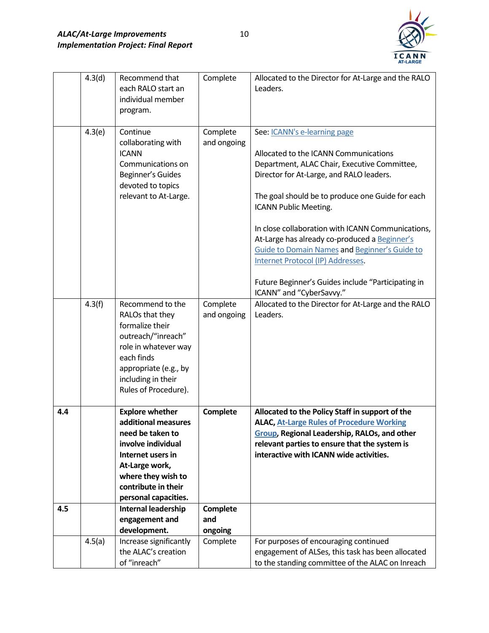

|     | 4.3(d) | Recommend that<br>each RALO start an<br>individual member<br>program.                                                                                                                               | Complete                   | Allocated to the Director for At-Large and the RALO<br>Leaders.                                                                                                                                                                                                                                                                                                                                                                                                                                                                            |
|-----|--------|-----------------------------------------------------------------------------------------------------------------------------------------------------------------------------------------------------|----------------------------|--------------------------------------------------------------------------------------------------------------------------------------------------------------------------------------------------------------------------------------------------------------------------------------------------------------------------------------------------------------------------------------------------------------------------------------------------------------------------------------------------------------------------------------------|
|     | 4.3(e) | Continue<br>collaborating with<br><b>ICANN</b><br>Communications on<br>Beginner's Guides<br>devoted to topics<br>relevant to At-Large.                                                              | Complete<br>and ongoing    | See: <i>ICANN's e-learning page</i><br>Allocated to the ICANN Communications<br>Department, ALAC Chair, Executive Committee,<br>Director for At-Large, and RALO leaders.<br>The goal should be to produce one Guide for each<br>ICANN Public Meeting.<br>In close collaboration with ICANN Communications,<br>At-Large has already co-produced a Beginner's<br><b>Guide to Domain Names and Beginner's Guide to</b><br>Internet Protocol (IP) Addresses.<br>Future Beginner's Guides include "Participating in<br>ICANN" and "CyberSavvy." |
|     | 4.3(f) | Recommend to the<br>RALOs that they<br>formalize their<br>outreach/"inreach"<br>role in whatever way<br>each finds<br>appropriate (e.g., by<br>including in their<br>Rules of Procedure).           | Complete<br>and ongoing    | Allocated to the Director for At-Large and the RALO<br>Leaders.                                                                                                                                                                                                                                                                                                                                                                                                                                                                            |
| 4.4 |        | <b>Explore whether</b><br>additional measures<br>need be taken to<br>involve individual<br>Internet users in<br>At-Large work,<br>where they wish to<br>contribute in their<br>personal capacities. | Complete                   | Allocated to the Policy Staff in support of the<br><b>ALAC, At-Large Rules of Procedure Working</b><br><b>Group, Regional Leadership, RALOs, and other</b><br>relevant parties to ensure that the system is<br>interactive with ICANN wide activities.                                                                                                                                                                                                                                                                                     |
| 4.5 |        | Internal leadership<br>engagement and<br>development.                                                                                                                                               | Complete<br>and<br>ongoing |                                                                                                                                                                                                                                                                                                                                                                                                                                                                                                                                            |
|     | 4.5(a) | Increase significantly<br>the ALAC's creation<br>of "inreach"                                                                                                                                       | Complete                   | For purposes of encouraging continued<br>engagement of ALSes, this task has been allocated<br>to the standing committee of the ALAC on Inreach                                                                                                                                                                                                                                                                                                                                                                                             |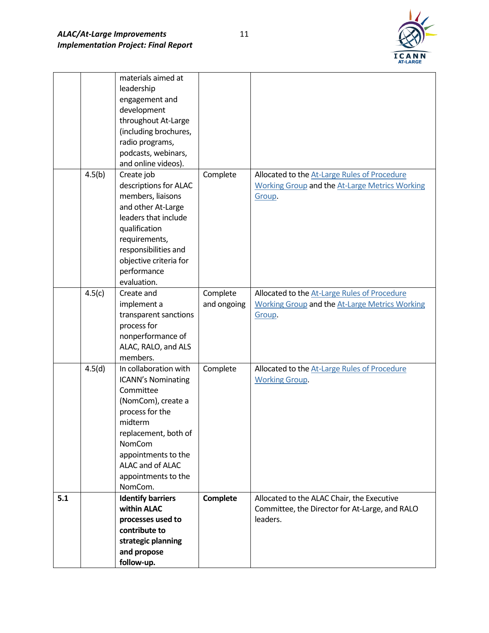

|     |        | materials aimed at        |             |                                                       |
|-----|--------|---------------------------|-------------|-------------------------------------------------------|
|     |        | leadership                |             |                                                       |
|     |        | engagement and            |             |                                                       |
|     |        | development               |             |                                                       |
|     |        | throughout At-Large       |             |                                                       |
|     |        | (including brochures,     |             |                                                       |
|     |        | radio programs,           |             |                                                       |
|     |        | podcasts, webinars,       |             |                                                       |
|     |        | and online videos).       |             |                                                       |
|     | 4.5(b) | Create job                | Complete    | Allocated to the At-Large Rules of Procedure          |
|     |        | descriptions for ALAC     |             | <b>Working Group and the At-Large Metrics Working</b> |
|     |        | members, liaisons         |             | Group.                                                |
|     |        | and other At-Large        |             |                                                       |
|     |        | leaders that include      |             |                                                       |
|     |        | qualification             |             |                                                       |
|     |        | requirements,             |             |                                                       |
|     |        | responsibilities and      |             |                                                       |
|     |        | objective criteria for    |             |                                                       |
|     |        | performance               |             |                                                       |
|     |        | evaluation.               |             |                                                       |
|     | 4.5(c) | Create and                | Complete    | Allocated to the At-Large Rules of Procedure          |
|     |        | implement a               | and ongoing | <b>Working Group and the At-Large Metrics Working</b> |
|     |        | transparent sanctions     |             | Group.                                                |
|     |        | process for               |             |                                                       |
|     |        | nonperformance of         |             |                                                       |
|     |        | ALAC, RALO, and ALS       |             |                                                       |
|     |        | members.                  |             |                                                       |
|     | 4.5(d) | In collaboration with     | Complete    | Allocated to the At-Large Rules of Procedure          |
|     |        | <b>ICANN's Nominating</b> |             | <b>Working Group.</b>                                 |
|     |        | Committee                 |             |                                                       |
|     |        | (NomCom), create a        |             |                                                       |
|     |        | process for the           |             |                                                       |
|     |        | midterm                   |             |                                                       |
|     |        | replacement, both of      |             |                                                       |
|     |        | <b>NomCom</b>             |             |                                                       |
|     |        | appointments to the       |             |                                                       |
|     |        | ALAC and of ALAC          |             |                                                       |
|     |        | appointments to the       |             |                                                       |
|     |        | NomCom.                   |             |                                                       |
| 5.1 |        | <b>Identify barriers</b>  | Complete    | Allocated to the ALAC Chair, the Executive            |
|     |        | within ALAC               |             | Committee, the Director for At-Large, and RALO        |
|     |        | processes used to         |             | leaders.                                              |
|     |        | contribute to             |             |                                                       |
|     |        | strategic planning        |             |                                                       |
|     |        | and propose               |             |                                                       |
|     |        | follow-up.                |             |                                                       |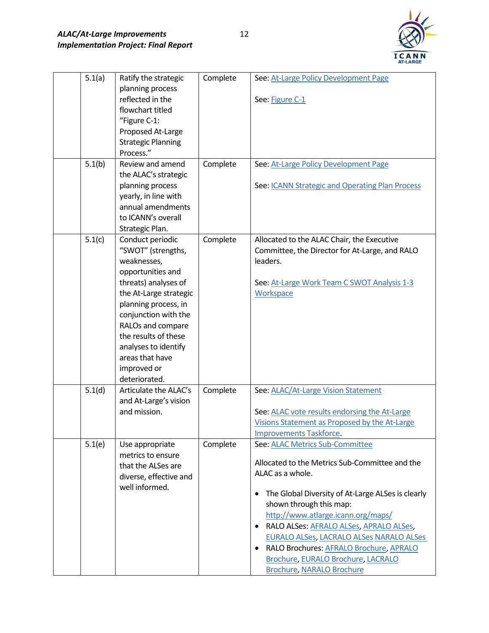

| 5.1(a) | Ratify the strategic                           | Complete | See: At-Large Policy Development Page             |
|--------|------------------------------------------------|----------|---------------------------------------------------|
|        | planning process<br>reflected in the           |          | See: Figure C-1                                   |
|        | flowchart titled                               |          |                                                   |
|        | "Figure C-1:                                   |          |                                                   |
|        | Proposed At-Large                              |          |                                                   |
|        | <b>Strategic Planning</b>                      |          |                                                   |
|        | Process."                                      |          |                                                   |
| 5.1(b) | Review and amend                               | Complete | See: At-Large Policy Development Page             |
|        | the ALAC's strategic                           |          |                                                   |
|        | planning process                               |          | See: ICANN Strategic and Operating Plan Process   |
|        | yearly, in line with                           |          |                                                   |
|        | annual amendments                              |          |                                                   |
|        | to ICANN's overall                             |          |                                                   |
|        | Strategic Plan.                                |          |                                                   |
| 5.1(c) | Conduct periodic                               | Complete | Allocated to the ALAC Chair, the Executive        |
|        | "SWOT" (strengths,                             |          | Committee, the Director for At-Large, and RALO    |
|        | weaknesses,                                    |          | leaders.                                          |
|        | opportunities and                              |          |                                                   |
|        | threats) analyses of                           |          | See: At-Large Work Team C SWOT Analysis 1-3       |
|        | the At-Large strategic                         |          | Workspace                                         |
|        | planning process, in                           |          |                                                   |
|        | conjunction with the                           |          |                                                   |
|        | RALOs and compare                              |          |                                                   |
|        | the results of these                           |          |                                                   |
|        | analyses to identify                           |          |                                                   |
|        | areas that have                                |          |                                                   |
|        | improved or                                    |          |                                                   |
|        | deteriorated.                                  |          |                                                   |
| 5.1(d) | Articulate the ALAC's<br>and At-Large's vision | Complete | See: ALAC/At-Large Vision Statement               |
|        | and mission.                                   |          | See: ALAC vote results endorsing the At-Large     |
|        |                                                |          | Visions Statement as Proposed by the At-Large     |
|        |                                                |          | <b>Improvements Taskforce.</b>                    |
| 5.1(e) | Use appropriate                                | Complete | See: ALAC Metrics Sub-Committee                   |
|        | metrics to ensure                              |          |                                                   |
|        | that the ALSes are                             |          | Allocated to the Metrics Sub-Committee and the    |
|        | diverse, effective and                         |          | ALAC as a whole.                                  |
|        | well informed.                                 |          |                                                   |
|        |                                                |          | The Global Diversity of At-Large ALSes is clearly |
|        |                                                |          | shown through this map:                           |
|        |                                                |          | http://www.atlarge.icann.org/maps/                |
|        |                                                |          | • RALO ALSes: AFRALO ALSes, APRALO ALSes,         |
|        |                                                |          | <b>EURALO ALSes, LACRALO ALSes NARALO ALSes</b>   |
|        |                                                |          | RALO Brochures: AFRALO Brochure, APRALO           |
|        |                                                |          | Brochure, EURALO Brochure, LACRALO                |
|        |                                                |          | <b>Brochure, NARALO Brochure</b>                  |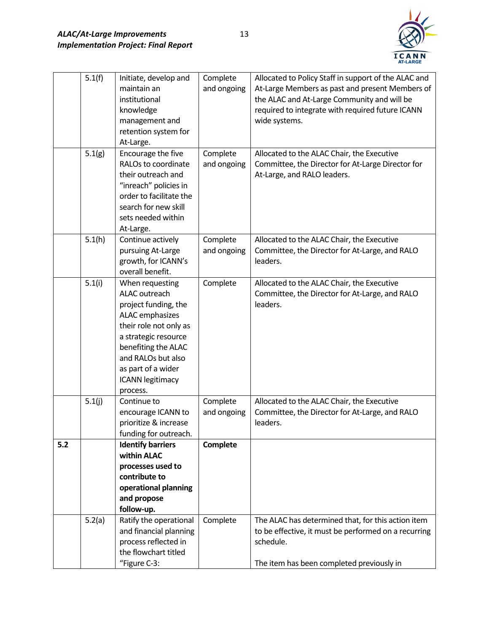

|     | 5.1(f) | Initiate, develop and    | Complete    | Allocated to Policy Staff in support of the ALAC and |
|-----|--------|--------------------------|-------------|------------------------------------------------------|
|     |        | maintain an              | and ongoing | At-Large Members as past and present Members of      |
|     |        | institutional            |             | the ALAC and At-Large Community and will be          |
|     |        | knowledge                |             | required to integrate with required future ICANN     |
|     |        | management and           |             | wide systems.                                        |
|     |        | retention system for     |             |                                                      |
|     |        | At-Large.                |             |                                                      |
|     | 5.1(g) | Encourage the five       | Complete    | Allocated to the ALAC Chair, the Executive           |
|     |        | RALOs to coordinate      | and ongoing | Committee, the Director for At-Large Director for    |
|     |        | their outreach and       |             | At-Large, and RALO leaders.                          |
|     |        | "inreach" policies in    |             |                                                      |
|     |        | order to facilitate the  |             |                                                      |
|     |        | search for new skill     |             |                                                      |
|     |        | sets needed within       |             |                                                      |
|     |        | At-Large.                |             |                                                      |
|     | 5.1(h) | Continue actively        | Complete    | Allocated to the ALAC Chair, the Executive           |
|     |        | pursuing At-Large        | and ongoing | Committee, the Director for At-Large, and RALO       |
|     |        | growth, for ICANN's      |             | leaders.                                             |
|     |        | overall benefit.         |             |                                                      |
|     | 5.1(i) | When requesting          | Complete    | Allocated to the ALAC Chair, the Executive           |
|     |        | <b>ALAC</b> outreach     |             | Committee, the Director for At-Large, and RALO       |
|     |        | project funding, the     |             | leaders.                                             |
|     |        | ALAC emphasizes          |             |                                                      |
|     |        | their role not only as   |             |                                                      |
|     |        | a strategic resource     |             |                                                      |
|     |        | benefiting the ALAC      |             |                                                      |
|     |        | and RALOs but also       |             |                                                      |
|     |        | as part of a wider       |             |                                                      |
|     |        | <b>ICANN</b> legitimacy  |             |                                                      |
|     |        | process.                 |             |                                                      |
|     | 5.1(j) | Continue to              | Complete    | Allocated to the ALAC Chair, the Executive           |
|     |        | encourage ICANN to       | and ongoing | Committee, the Director for At-Large, and RALO       |
|     |        | prioritize & increase    |             | leaders.                                             |
|     |        | funding for outreach.    |             |                                                      |
| 5.2 |        | <b>Identify barriers</b> | Complete    |                                                      |
|     |        | within ALAC              |             |                                                      |
|     |        | processes used to        |             |                                                      |
|     |        | contribute to            |             |                                                      |
|     |        | operational planning     |             |                                                      |
|     |        | and propose              |             |                                                      |
|     |        | follow-up.               |             |                                                      |
|     | 5.2(a) | Ratify the operational   | Complete    | The ALAC has determined that, for this action item   |
|     |        | and financial planning   |             | to be effective, it must be performed on a recurring |
|     |        | process reflected in     |             | schedule.                                            |
|     |        | the flowchart titled     |             |                                                      |
|     |        | "Figure C-3:             |             | The item has been completed previously in            |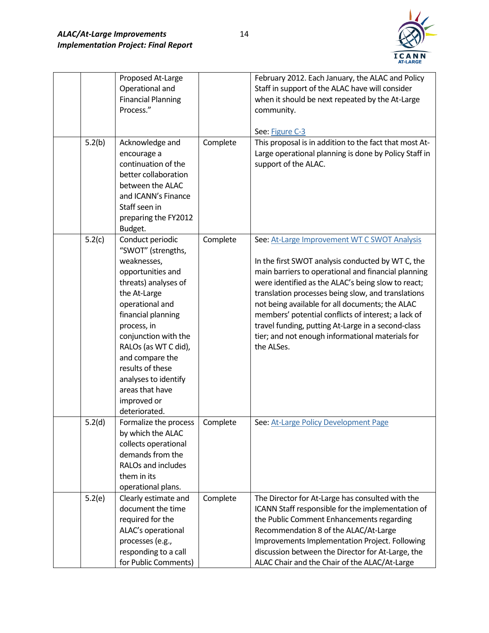

|        | Proposed At-Large         |          | February 2012. Each January, the ALAC and Policy       |
|--------|---------------------------|----------|--------------------------------------------------------|
|        | Operational and           |          | Staff in support of the ALAC have will consider        |
|        | <b>Financial Planning</b> |          | when it should be next repeated by the At-Large        |
|        | Process."                 |          | community.                                             |
|        |                           |          |                                                        |
|        |                           |          | See: Figure C-3                                        |
| 5.2(b) | Acknowledge and           | Complete | This proposal is in addition to the fact that most At- |
|        | encourage a               |          | Large operational planning is done by Policy Staff in  |
|        | continuation of the       |          | support of the ALAC.                                   |
|        | better collaboration      |          |                                                        |
|        | between the ALAC          |          |                                                        |
|        | and ICANN's Finance       |          |                                                        |
|        | Staff seen in             |          |                                                        |
|        | preparing the FY2012      |          |                                                        |
|        | Budget.                   |          |                                                        |
| 5.2(c) | Conduct periodic          | Complete | See: At-Large Improvement WT C SWOT Analysis           |
|        | "SWOT" (strengths,        |          |                                                        |
|        | weaknesses,               |          | In the first SWOT analysis conducted by WT C, the      |
|        | opportunities and         |          | main barriers to operational and financial planning    |
|        | threats) analyses of      |          | were identified as the ALAC's being slow to react;     |
|        | the At-Large              |          | translation processes being slow, and translations     |
|        | operational and           |          | not being available for all documents; the ALAC        |
|        | financial planning        |          | members' potential conflicts of interest; a lack of    |
|        | process, in               |          | travel funding, putting At-Large in a second-class     |
|        | conjunction with the      |          | tier; and not enough informational materials for       |
|        | RALOs (as WT C did),      |          | the ALSes.                                             |
|        | and compare the           |          |                                                        |
|        | results of these          |          |                                                        |
|        | analyses to identify      |          |                                                        |
|        | areas that have           |          |                                                        |
|        | improved or               |          |                                                        |
|        | deteriorated.             |          |                                                        |
| 5.2(d) | Formalize the process     | Complete | See: At-Large Policy Development Page                  |
|        | by which the ALAC         |          |                                                        |
|        | collects operational      |          |                                                        |
|        | demands from the          |          |                                                        |
|        | RALOs and includes        |          |                                                        |
|        | them in its               |          |                                                        |
|        | operational plans.        |          |                                                        |
| 5.2(e) | Clearly estimate and      | Complete | The Director for At-Large has consulted with the       |
|        | document the time         |          | ICANN Staff responsible for the implementation of      |
|        | required for the          |          | the Public Comment Enhancements regarding              |
|        | ALAC's operational        |          | Recommendation 8 of the ALAC/At-Large                  |
|        | processes (e.g.,          |          | Improvements Implementation Project. Following         |
|        | responding to a call      |          | discussion between the Director for At-Large, the      |
|        | for Public Comments)      |          | ALAC Chair and the Chair of the ALAC/At-Large          |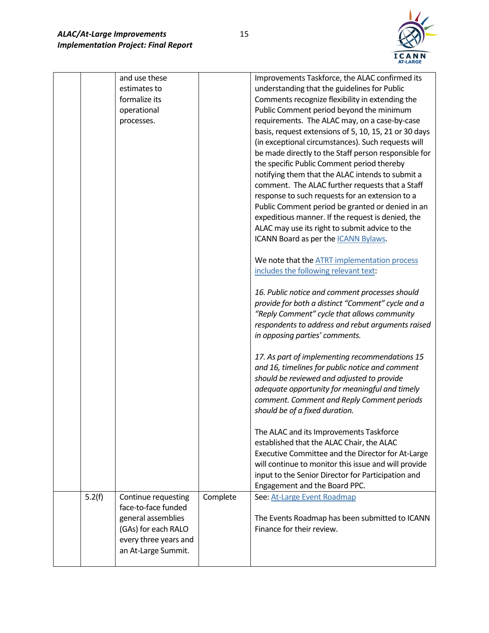

|        | and use these<br>estimates to<br>formalize its<br>operational<br>processes.                                                             |          | Improvements Taskforce, the ALAC confirmed its<br>understanding that the guidelines for Public<br>Comments recognize flexibility in extending the<br>Public Comment period beyond the minimum<br>requirements. The ALAC may, on a case-by-case<br>basis, request extensions of 5, 10, 15, 21 or 30 days<br>(in exceptional circumstances). Such requests will<br>be made directly to the Staff person responsible for<br>the specific Public Comment period thereby<br>notifying them that the ALAC intends to submit a<br>comment. The ALAC further requests that a Staff<br>response to such requests for an extension to a<br>Public Comment period be granted or denied in an<br>expeditious manner. If the request is denied, the<br>ALAC may use its right to submit advice to the<br>ICANN Board as per the <i>ICANN Bylaws</i> .<br>We note that the ATRT implementation process<br>includes the following relevant text:<br>16. Public notice and comment processes should<br>provide for both a distinct "Comment" cycle and a<br>"Reply Comment" cycle that allows community<br>respondents to address and rebut arguments raised<br>in opposing parties' comments.<br>17. As part of implementing recommendations 15<br>and 16, timelines for public notice and comment<br>should be reviewed and adjusted to provide<br>adequate opportunity for meaningful and timely<br>comment. Comment and Reply Comment periods<br>should be of a fixed duration.<br>The ALAC and its Improvements Taskforce<br>established that the ALAC Chair, the ALAC<br>Executive Committee and the Director for At-Large<br>will continue to monitor this issue and will provide<br>input to the Senior Director for Participation and<br>Engagement and the Board PPC. |
|--------|-----------------------------------------------------------------------------------------------------------------------------------------|----------|-----------------------------------------------------------------------------------------------------------------------------------------------------------------------------------------------------------------------------------------------------------------------------------------------------------------------------------------------------------------------------------------------------------------------------------------------------------------------------------------------------------------------------------------------------------------------------------------------------------------------------------------------------------------------------------------------------------------------------------------------------------------------------------------------------------------------------------------------------------------------------------------------------------------------------------------------------------------------------------------------------------------------------------------------------------------------------------------------------------------------------------------------------------------------------------------------------------------------------------------------------------------------------------------------------------------------------------------------------------------------------------------------------------------------------------------------------------------------------------------------------------------------------------------------------------------------------------------------------------------------------------------------------------------------------------------------------------------------------------------------------------------|
| 5.2(f) | Continue requesting<br>face-to-face funded<br>general assemblies<br>(GAs) for each RALO<br>every three years and<br>an At-Large Summit. | Complete | See: At-Large Event Roadmap<br>The Events Roadmap has been submitted to ICANN<br>Finance for their review.                                                                                                                                                                                                                                                                                                                                                                                                                                                                                                                                                                                                                                                                                                                                                                                                                                                                                                                                                                                                                                                                                                                                                                                                                                                                                                                                                                                                                                                                                                                                                                                                                                                      |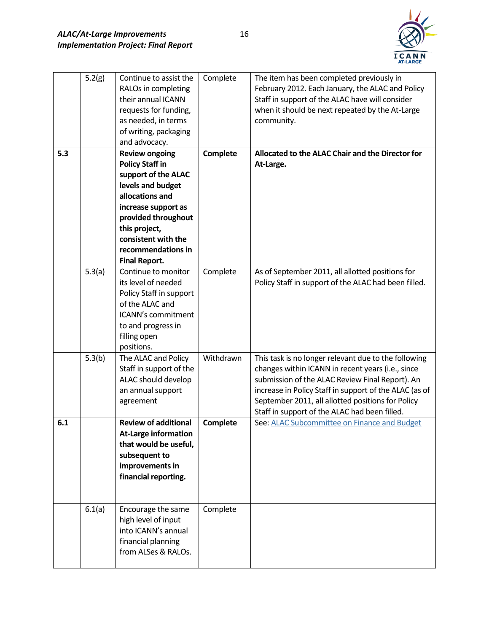

|     | 5.2(g) | Continue to assist the      | Complete        | The item has been completed previously in              |
|-----|--------|-----------------------------|-----------------|--------------------------------------------------------|
|     |        | RALOs in completing         |                 | February 2012. Each January, the ALAC and Policy       |
|     |        | their annual ICANN          |                 | Staff in support of the ALAC have will consider        |
|     |        | requests for funding,       |                 | when it should be next repeated by the At-Large        |
|     |        | as needed, in terms         |                 | community.                                             |
|     |        | of writing, packaging       |                 |                                                        |
|     |        | and advocacy.               |                 |                                                        |
| 5.3 |        | <b>Review ongoing</b>       | Complete        | Allocated to the ALAC Chair and the Director for       |
|     |        | <b>Policy Staff in</b>      |                 | At-Large.                                              |
|     |        | support of the ALAC         |                 |                                                        |
|     |        | levels and budget           |                 |                                                        |
|     |        | allocations and             |                 |                                                        |
|     |        | increase support as         |                 |                                                        |
|     |        | provided throughout         |                 |                                                        |
|     |        | this project,               |                 |                                                        |
|     |        | consistent with the         |                 |                                                        |
|     |        | recommendations in          |                 |                                                        |
|     |        | <b>Final Report.</b>        |                 |                                                        |
|     | 5.3(a) | Continue to monitor         | Complete        | As of September 2011, all allotted positions for       |
|     |        | its level of needed         |                 | Policy Staff in support of the ALAC had been filled.   |
|     |        | Policy Staff in support     |                 |                                                        |
|     |        | of the ALAC and             |                 |                                                        |
|     |        | ICANN's commitment          |                 |                                                        |
|     |        | to and progress in          |                 |                                                        |
|     |        | filling open                |                 |                                                        |
|     |        | positions.                  |                 |                                                        |
|     | 5.3(b) | The ALAC and Policy         | Withdrawn       | This task is no longer relevant due to the following   |
|     |        | Staff in support of the     |                 | changes within ICANN in recent years (i.e., since      |
|     |        | ALAC should develop         |                 | submission of the ALAC Review Final Report). An        |
|     |        | an annual support           |                 | increase in Policy Staff in support of the ALAC (as of |
|     |        | agreement                   |                 | September 2011, all allotted positions for Policy      |
|     |        |                             |                 | Staff in support of the ALAC had been filled.          |
| 6.1 |        | <b>Review of additional</b> | <b>Complete</b> | See: ALAC Subcommittee on Finance and Budget           |
|     |        | <b>At-Large information</b> |                 |                                                        |
|     |        | that would be useful,       |                 |                                                        |
|     |        | subsequent to               |                 |                                                        |
|     |        | improvements in             |                 |                                                        |
|     |        | financial reporting.        |                 |                                                        |
|     |        |                             |                 |                                                        |
|     |        |                             |                 |                                                        |
|     | 6.1(a) | Encourage the same          | Complete        |                                                        |
|     |        | high level of input         |                 |                                                        |
|     |        | into ICANN's annual         |                 |                                                        |
|     |        | financial planning          |                 |                                                        |
|     |        | from ALSes & RALOs.         |                 |                                                        |
|     |        |                             |                 |                                                        |

16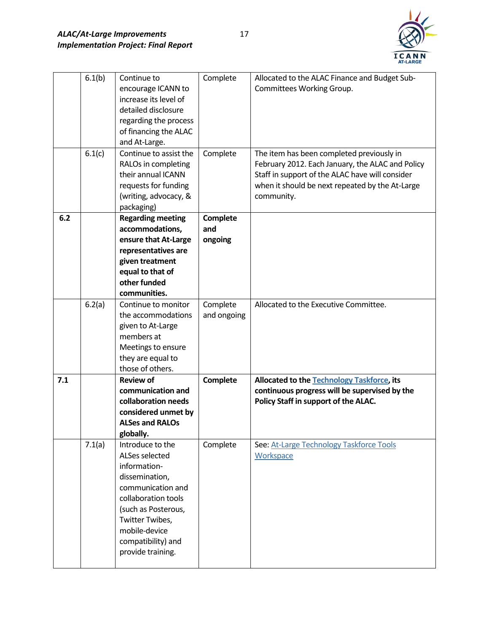

|     | 6.1(b) | Continue to              | Complete        | Allocated to the ALAC Finance and Budget Sub-                                         |
|-----|--------|--------------------------|-----------------|---------------------------------------------------------------------------------------|
|     |        | encourage ICANN to       |                 | Committees Working Group.                                                             |
|     |        | increase its level of    |                 |                                                                                       |
|     |        | detailed disclosure      |                 |                                                                                       |
|     |        | regarding the process    |                 |                                                                                       |
|     |        | of financing the ALAC    |                 |                                                                                       |
|     |        | and At-Large.            |                 |                                                                                       |
|     | 6.1(c) | Continue to assist the   | Complete        | The item has been completed previously in                                             |
|     |        |                          |                 |                                                                                       |
|     |        | RALOs in completing      |                 | February 2012. Each January, the ALAC and Policy                                      |
|     |        | their annual ICANN       |                 | Staff in support of the ALAC have will consider                                       |
|     |        | requests for funding     |                 | when it should be next repeated by the At-Large                                       |
|     |        | (writing, advocacy, &    |                 | community.                                                                            |
|     |        | packaging)               |                 |                                                                                       |
| 6.2 |        | <b>Regarding meeting</b> | <b>Complete</b> |                                                                                       |
|     |        | accommodations,          | and             |                                                                                       |
|     |        | ensure that At-Large     | ongoing         |                                                                                       |
|     |        | representatives are      |                 |                                                                                       |
|     |        | given treatment          |                 |                                                                                       |
|     |        | equal to that of         |                 |                                                                                       |
|     |        | other funded             |                 |                                                                                       |
|     |        | communities.             |                 |                                                                                       |
|     | 6.2(a) | Continue to monitor      | Complete        | Allocated to the Executive Committee.                                                 |
|     |        | the accommodations       | and ongoing     |                                                                                       |
|     |        | given to At-Large        |                 |                                                                                       |
|     |        | members at               |                 |                                                                                       |
|     |        | Meetings to ensure       |                 |                                                                                       |
|     |        | they are equal to        |                 |                                                                                       |
|     |        | those of others.         |                 |                                                                                       |
| 7.1 |        | <b>Review of</b>         | <b>Complete</b> | Allocated to the Technology Taskforce, its                                            |
|     |        | communication and        |                 |                                                                                       |
|     |        |                          |                 | continuous progress will be supervised by the<br>Policy Staff in support of the ALAC. |
|     |        | collaboration needs      |                 |                                                                                       |
|     |        |                          |                 |                                                                                       |
|     |        | considered unmet by      |                 |                                                                                       |
|     |        | <b>ALSes and RALOs</b>   |                 |                                                                                       |
|     |        | globally.                |                 |                                                                                       |
|     | 7.1(a) | Introduce to the         | Complete        | See: At-Large Technology Taskforce Tools                                              |
|     |        | ALSes selected           |                 | Workspace                                                                             |
|     |        | information-             |                 |                                                                                       |
|     |        | dissemination,           |                 |                                                                                       |
|     |        | communication and        |                 |                                                                                       |
|     |        | collaboration tools      |                 |                                                                                       |
|     |        | (such as Posterous,      |                 |                                                                                       |
|     |        |                          |                 |                                                                                       |
|     |        | Twitter Twibes,          |                 |                                                                                       |
|     |        | mobile-device            |                 |                                                                                       |
|     |        | compatibility) and       |                 |                                                                                       |
|     |        | provide training.        |                 |                                                                                       |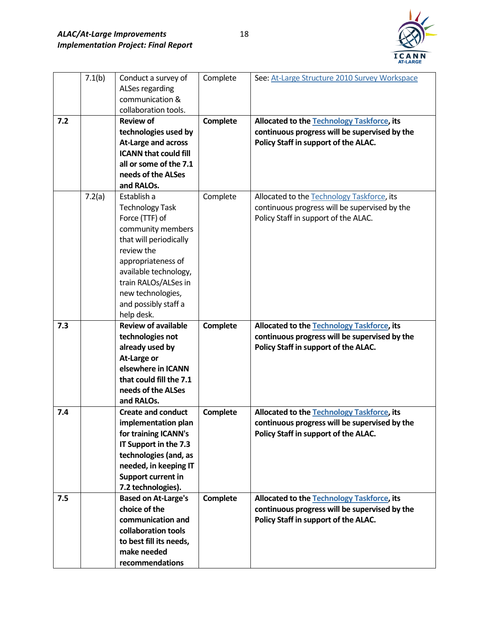

|     | 7.1(b) | Conduct a survey of                           | Complete        | See: At-Large Structure 2010 Survey Workspace |
|-----|--------|-----------------------------------------------|-----------------|-----------------------------------------------|
|     |        | ALSes regarding                               |                 |                                               |
|     |        | communication &                               |                 |                                               |
|     |        | collaboration tools.                          |                 |                                               |
| 7.2 |        | <b>Review of</b>                              | Complete        | Allocated to the Technology Taskforce, its    |
|     |        | technologies used by                          |                 | continuous progress will be supervised by the |
|     |        | <b>At-Large and across</b>                    |                 | Policy Staff in support of the ALAC.          |
|     |        | <b>ICANN that could fill</b>                  |                 |                                               |
|     |        | all or some of the 7.1                        |                 |                                               |
|     |        | needs of the ALSes                            |                 |                                               |
|     |        | and RALOs.                                    |                 |                                               |
|     | 7.2(a) | Establish a                                   | Complete        | Allocated to the Technology Taskforce, its    |
|     |        | <b>Technology Task</b>                        |                 | continuous progress will be supervised by the |
|     |        | Force (TTF) of                                |                 | Policy Staff in support of the ALAC.          |
|     |        | community members                             |                 |                                               |
|     |        | that will periodically                        |                 |                                               |
|     |        | review the                                    |                 |                                               |
|     |        | appropriateness of                            |                 |                                               |
|     |        | available technology,                         |                 |                                               |
|     |        | train RALOs/ALSes in                          |                 |                                               |
|     |        | new technologies,                             |                 |                                               |
|     |        | and possibly staff a                          |                 |                                               |
|     |        | help desk.                                    |                 |                                               |
| 7.3 |        | <b>Review of available</b>                    | <b>Complete</b> | Allocated to the Technology Taskforce, its    |
|     |        | technologies not                              |                 | continuous progress will be supervised by the |
|     |        | already used by                               |                 | Policy Staff in support of the ALAC.          |
|     |        | At-Large or<br>elsewhere in ICANN             |                 |                                               |
|     |        |                                               |                 |                                               |
|     |        | that could fill the 7.1<br>needs of the ALSes |                 |                                               |
|     |        | and RALOs.                                    |                 |                                               |
| 7.4 |        | <b>Create and conduct</b>                     |                 | Allocated to the Technology Taskforce, its    |
|     |        | implementation plan                           | Complete        | continuous progress will be supervised by the |
|     |        | for training ICANN's                          |                 | Policy Staff in support of the ALAC.          |
|     |        | IT Support in the 7.3                         |                 |                                               |
|     |        | technologies (and, as                         |                 |                                               |
|     |        | needed, in keeping IT                         |                 |                                               |
|     |        | <b>Support current in</b>                     |                 |                                               |
|     |        | 7.2 technologies).                            |                 |                                               |
| 7.5 |        | <b>Based on At-Large's</b>                    | Complete        | Allocated to the Technology Taskforce, its    |
|     |        | choice of the                                 |                 | continuous progress will be supervised by the |
|     |        | communication and                             |                 | Policy Staff in support of the ALAC.          |
|     |        | collaboration tools                           |                 |                                               |
|     |        |                                               |                 |                                               |
|     |        |                                               |                 |                                               |
|     |        | to best fill its needs,<br>make needed        |                 |                                               |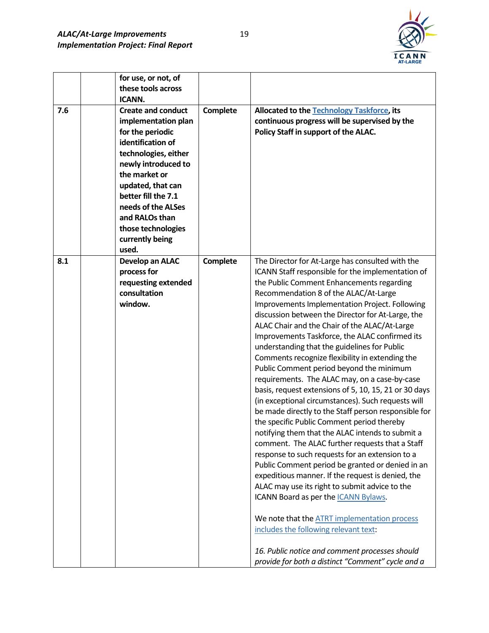

| 7.6 | for use, or not, of<br>these tools across<br><b>ICANN.</b><br><b>Create and conduct</b><br>implementation plan<br>for the periodic<br>identification of<br>technologies, either<br>newly introduced to<br>the market or<br>updated, that can<br>better fill the 7.1<br>needs of the ALSes<br>and RALOs than<br>those technologies<br>currently being<br>used. | Complete | Allocated to the Technology Taskforce, its<br>continuous progress will be supervised by the<br>Policy Staff in support of the ALAC.                                                                                                                                                                                                                                                                                                                                                                                                                                                                                                                                                                                                                                                                                                                                                                                                                                                                                                                                                                                                                                                                                                                                                                                                                                                     |
|-----|---------------------------------------------------------------------------------------------------------------------------------------------------------------------------------------------------------------------------------------------------------------------------------------------------------------------------------------------------------------|----------|-----------------------------------------------------------------------------------------------------------------------------------------------------------------------------------------------------------------------------------------------------------------------------------------------------------------------------------------------------------------------------------------------------------------------------------------------------------------------------------------------------------------------------------------------------------------------------------------------------------------------------------------------------------------------------------------------------------------------------------------------------------------------------------------------------------------------------------------------------------------------------------------------------------------------------------------------------------------------------------------------------------------------------------------------------------------------------------------------------------------------------------------------------------------------------------------------------------------------------------------------------------------------------------------------------------------------------------------------------------------------------------------|
| 8.1 | Develop an ALAC<br>process for<br>requesting extended<br>consultation<br>window.                                                                                                                                                                                                                                                                              | Complete | The Director for At-Large has consulted with the<br>ICANN Staff responsible for the implementation of<br>the Public Comment Enhancements regarding<br>Recommendation 8 of the ALAC/At-Large<br>Improvements Implementation Project. Following<br>discussion between the Director for At-Large, the<br>ALAC Chair and the Chair of the ALAC/At-Large<br>Improvements Taskforce, the ALAC confirmed its<br>understanding that the guidelines for Public<br>Comments recognize flexibility in extending the<br>Public Comment period beyond the minimum<br>requirements. The ALAC may, on a case-by-case<br>basis, request extensions of 5, 10, 15, 21 or 30 days<br>(in exceptional circumstances). Such requests will<br>be made directly to the Staff person responsible for<br>the specific Public Comment period thereby<br>notifying them that the ALAC intends to submit a<br>comment. The ALAC further requests that a Staff<br>response to such requests for an extension to a<br>Public Comment period be granted or denied in an<br>expeditious manner. If the request is denied, the<br>ALAC may use its right to submit advice to the<br>ICANN Board as per the ICANN Bylaws.<br>We note that the ATRT implementation process<br>includes the following relevant text:<br>16. Public notice and comment processes should<br>provide for both a distinct "Comment" cycle and a |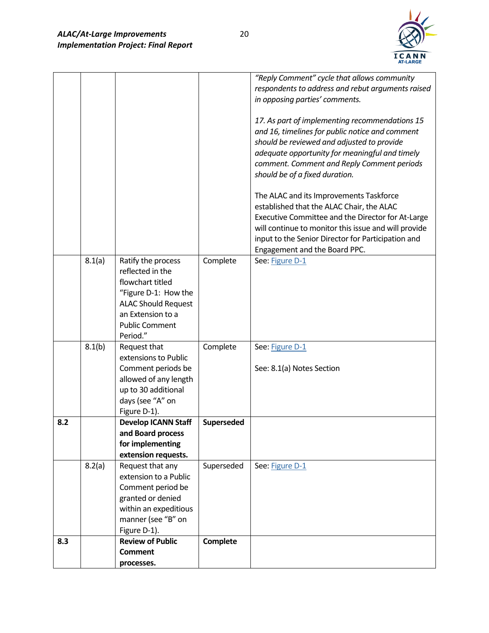

|     |        |                                         |                 | "Reply Comment" cycle that allows community                                  |
|-----|--------|-----------------------------------------|-----------------|------------------------------------------------------------------------------|
|     |        |                                         |                 | respondents to address and rebut arguments raised                            |
|     |        |                                         |                 | in opposing parties' comments.                                               |
|     |        |                                         |                 |                                                                              |
|     |        |                                         |                 | 17. As part of implementing recommendations 15                               |
|     |        |                                         |                 | and 16, timelines for public notice and comment                              |
|     |        |                                         |                 | should be reviewed and adjusted to provide                                   |
|     |        |                                         |                 | adequate opportunity for meaningful and timely                               |
|     |        |                                         |                 | comment. Comment and Reply Comment periods<br>should be of a fixed duration. |
|     |        |                                         |                 |                                                                              |
|     |        |                                         |                 | The ALAC and its Improvements Taskforce                                      |
|     |        |                                         |                 | established that the ALAC Chair, the ALAC                                    |
|     |        |                                         |                 | Executive Committee and the Director for At-Large                            |
|     |        |                                         |                 | will continue to monitor this issue and will provide                         |
|     |        |                                         |                 | input to the Senior Director for Participation and                           |
|     |        |                                         |                 | Engagement and the Board PPC.                                                |
|     | 8.1(a) | Ratify the process                      | Complete        | See: Figure D-1                                                              |
|     |        | reflected in the                        |                 |                                                                              |
|     |        | flowchart titled                        |                 |                                                                              |
|     |        | "Figure D-1: How the                    |                 |                                                                              |
|     |        | <b>ALAC Should Request</b>              |                 |                                                                              |
|     |        | an Extension to a                       |                 |                                                                              |
|     |        | <b>Public Comment</b><br>Period."       |                 |                                                                              |
|     | 8.1(b) | Request that                            | Complete        | See: Figure D-1                                                              |
|     |        | extensions to Public                    |                 |                                                                              |
|     |        | Comment periods be                      |                 | See: 8.1(a) Notes Section                                                    |
|     |        | allowed of any length                   |                 |                                                                              |
|     |        | up to 30 additional                     |                 |                                                                              |
|     |        | days (see "A" on                        |                 |                                                                              |
|     |        | Figure D-1).                            |                 |                                                                              |
| 8.2 |        | <b>Develop ICANN Staff</b>              | Superseded      |                                                                              |
|     |        | and Board process                       |                 |                                                                              |
|     |        | for implementing                        |                 |                                                                              |
|     |        | extension requests.                     |                 |                                                                              |
|     | 8.2(a) | Request that any                        | Superseded      | See: Figure D-1                                                              |
|     |        | extension to a Public                   |                 |                                                                              |
|     |        | Comment period be                       |                 |                                                                              |
|     |        | granted or denied                       |                 |                                                                              |
|     |        | within an expeditious                   |                 |                                                                              |
|     |        | manner (see "B" on                      |                 |                                                                              |
| 8.3 |        | Figure D-1).<br><b>Review of Public</b> | <b>Complete</b> |                                                                              |
|     |        | <b>Comment</b>                          |                 |                                                                              |
|     |        | processes.                              |                 |                                                                              |
|     |        |                                         |                 |                                                                              |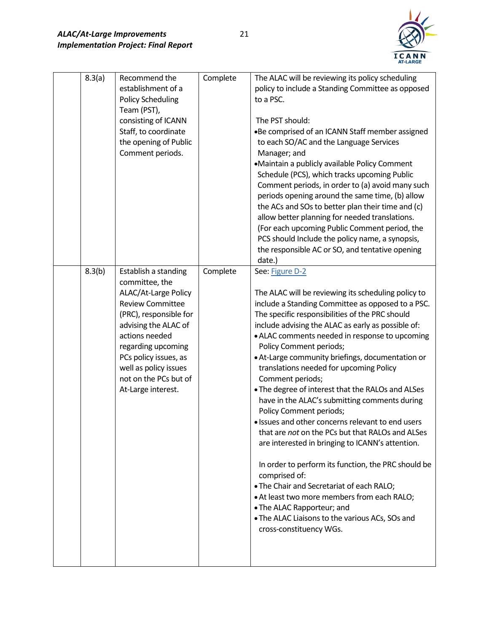

| 8.3(a) | Recommend the<br>establishment of a<br><b>Policy Scheduling</b><br>Team (PST),<br>consisting of ICANN<br>Staff, to coordinate<br>the opening of Public<br>Comment periods.                                                                                                           | Complete | The ALAC will be reviewing its policy scheduling<br>policy to include a Standing Committee as opposed<br>to a PSC.<br>The PST should:<br>.Be comprised of an ICANN Staff member assigned<br>to each SO/AC and the Language Services<br>Manager; and<br>•Maintain a publicly available Policy Comment<br>Schedule (PCS), which tracks upcoming Public<br>Comment periods, in order to (a) avoid many such<br>periods opening around the same time, (b) allow<br>the ACs and SOs to better plan their time and (c)<br>allow better planning for needed translations.<br>(For each upcoming Public Comment period, the<br>PCS should Include the policy name, a synopsis,<br>the responsible AC or SO, and tentative opening<br>date.)                                                                                                                                                                                                                                                                                       |
|--------|--------------------------------------------------------------------------------------------------------------------------------------------------------------------------------------------------------------------------------------------------------------------------------------|----------|---------------------------------------------------------------------------------------------------------------------------------------------------------------------------------------------------------------------------------------------------------------------------------------------------------------------------------------------------------------------------------------------------------------------------------------------------------------------------------------------------------------------------------------------------------------------------------------------------------------------------------------------------------------------------------------------------------------------------------------------------------------------------------------------------------------------------------------------------------------------------------------------------------------------------------------------------------------------------------------------------------------------------|
| 8.3(b) | Establish a standing<br>committee, the<br>ALAC/At-Large Policy<br><b>Review Committee</b><br>(PRC), responsible for<br>advising the ALAC of<br>actions needed<br>regarding upcoming<br>PCs policy issues, as<br>well as policy issues<br>not on the PCs but of<br>At-Large interest. | Complete | See: Figure D-2<br>The ALAC will be reviewing its scheduling policy to<br>include a Standing Committee as opposed to a PSC.<br>The specific responsibilities of the PRC should<br>include advising the ALAC as early as possible of:<br>• ALAC comments needed in response to upcoming<br>Policy Comment periods;<br>• At-Large community briefings, documentation or<br>translations needed for upcoming Policy<br>Comment periods;<br>. The degree of interest that the RALOs and ALSes<br>have in the ALAC's submitting comments during<br>Policy Comment periods;<br>• Issues and other concerns relevant to end users<br>that are <i>not</i> on the PCs but that RALOs and ALSes<br>are interested in bringing to ICANN's attention.<br>In order to perform its function, the PRC should be<br>comprised of:<br>. The Chair and Secretariat of each RALO;<br>• At least two more members from each RALO;<br>• The ALAC Rapporteur; and<br>. The ALAC Liaisons to the various ACs, SOs and<br>cross-constituency WGs. |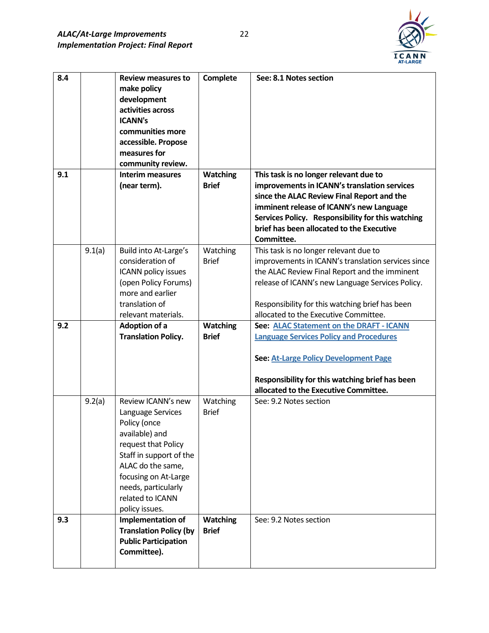

| 8.4 |        | <b>Review measures to</b><br>make policy<br>development<br>activities across<br><b>ICANN's</b><br>communities more<br>accessible. Propose<br>measures for<br>community review.                                                        | <b>Complete</b>                 | See: 8.1 Notes section                                                                                                                                                                                                                                                                           |
|-----|--------|---------------------------------------------------------------------------------------------------------------------------------------------------------------------------------------------------------------------------------------|---------------------------------|--------------------------------------------------------------------------------------------------------------------------------------------------------------------------------------------------------------------------------------------------------------------------------------------------|
| 9.1 |        | <b>Interim measures</b><br>(near term).                                                                                                                                                                                               | <b>Watching</b><br><b>Brief</b> | This task is no longer relevant due to<br>improvements in ICANN's translation services<br>since the ALAC Review Final Report and the<br>imminent release of ICANN's new Language<br>Services Policy. Responsibility for this watching<br>brief has been allocated to the Executive<br>Committee. |
|     | 9.1(a) | Build into At-Large's<br>consideration of<br>ICANN policy issues<br>(open Policy Forums)<br>more and earlier<br>translation of<br>relevant materials.                                                                                 | Watching<br><b>Brief</b>        | This task is no longer relevant due to<br>improvements in ICANN's translation services since<br>the ALAC Review Final Report and the imminent<br>release of ICANN's new Language Services Policy.<br>Responsibility for this watching brief has been<br>allocated to the Executive Committee.    |
| 9.2 |        | Adoption of a<br><b>Translation Policy.</b>                                                                                                                                                                                           | <b>Watching</b><br><b>Brief</b> | See: ALAC Statement on the DRAFT - ICANN<br><b>Language Services Policy and Procedures</b><br>See: At-Large Policy Development Page<br>Responsibility for this watching brief has been<br>allocated to the Executive Committee.                                                                  |
|     | 9.2(a) | Review ICANN's new<br>Language Services<br>Policy (once<br>available) and<br>request that Policy<br>Staff in support of the<br>ALAC do the same,<br>focusing on At-Large<br>needs, particularly<br>related to ICANN<br>policy issues. | Watching<br><b>Brief</b>        | See: 9.2 Notes section                                                                                                                                                                                                                                                                           |
| 9.3 |        | <b>Implementation of</b><br><b>Translation Policy (by</b><br><b>Public Participation</b><br>Committee).                                                                                                                               | <b>Watching</b><br><b>Brief</b> | See: 9.2 Notes section                                                                                                                                                                                                                                                                           |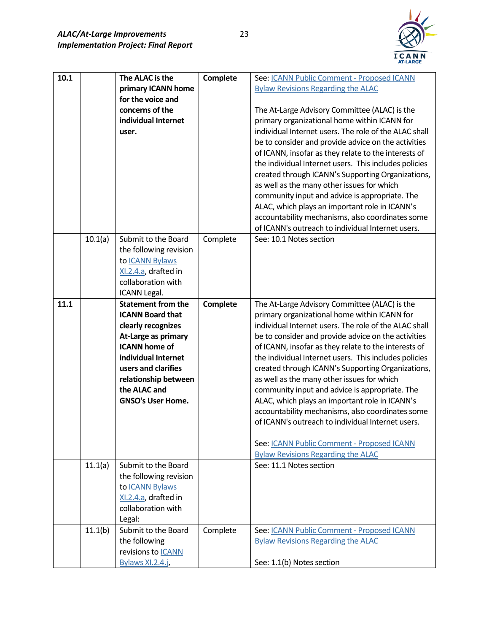

| 10.1 |         | The ALAC is the<br>primary ICANN home<br>for the voice and<br>concerns of the<br>individual Internet<br>user.                                                                                                                               | Complete | See: ICANN Public Comment - Proposed ICANN<br><b>Bylaw Revisions Regarding the ALAC</b><br>The At-Large Advisory Committee (ALAC) is the<br>primary organizational home within ICANN for<br>individual Internet users. The role of the ALAC shall<br>be to consider and provide advice on the activities<br>of ICANN, insofar as they relate to the interests of<br>the individual Internet users. This includes policies<br>created through ICANN's Supporting Organizations,<br>as well as the many other issues for which<br>community input and advice is appropriate. The<br>ALAC, which plays an important role in ICANN's<br>accountability mechanisms, also coordinates some<br>of ICANN's outreach to individual Internet users. |
|------|---------|---------------------------------------------------------------------------------------------------------------------------------------------------------------------------------------------------------------------------------------------|----------|-------------------------------------------------------------------------------------------------------------------------------------------------------------------------------------------------------------------------------------------------------------------------------------------------------------------------------------------------------------------------------------------------------------------------------------------------------------------------------------------------------------------------------------------------------------------------------------------------------------------------------------------------------------------------------------------------------------------------------------------|
|      | 10.1(a) | Submit to the Board<br>the following revision<br>to ICANN Bylaws<br>XI.2.4.a, drafted in<br>collaboration with<br>ICANN Legal.                                                                                                              | Complete | See: 10.1 Notes section                                                                                                                                                                                                                                                                                                                                                                                                                                                                                                                                                                                                                                                                                                                   |
| 11.1 |         | <b>Statement from the</b><br><b>ICANN Board that</b><br>clearly recognizes<br>At-Large as primary<br><b>ICANN home of</b><br>individual Internet<br>users and clarifies<br>relationship between<br>the ALAC and<br><b>GNSO's User Home.</b> | Complete | The At-Large Advisory Committee (ALAC) is the<br>primary organizational home within ICANN for<br>individual Internet users. The role of the ALAC shall<br>be to consider and provide advice on the activities<br>of ICANN, insofar as they relate to the interests of<br>the individual Internet users. This includes policies<br>created through ICANN's Supporting Organizations,<br>as well as the many other issues for which<br>community input and advice is appropriate. The<br>ALAC, which plays an important role in ICANN's<br>accountability mechanisms, also coordinates some<br>of ICANN's outreach to individual Internet users.<br>See: ICANN Public Comment - Proposed ICANN<br><b>Bylaw Revisions Regarding the ALAC</b> |
|      | 11.1(a) | Submit to the Board<br>the following revision<br>to ICANN Bylaws<br>XI.2.4.a, drafted in<br>collaboration with<br>Legal:                                                                                                                    |          | See: 11.1 Notes section                                                                                                                                                                                                                                                                                                                                                                                                                                                                                                                                                                                                                                                                                                                   |
|      | 11.1(b) | Submit to the Board<br>the following<br>revisions to <b>ICANN</b><br>Bylaws XI.2.4.j,                                                                                                                                                       | Complete | See: ICANN Public Comment - Proposed ICANN<br><b>Bylaw Revisions Regarding the ALAC</b><br>See: 1.1(b) Notes section                                                                                                                                                                                                                                                                                                                                                                                                                                                                                                                                                                                                                      |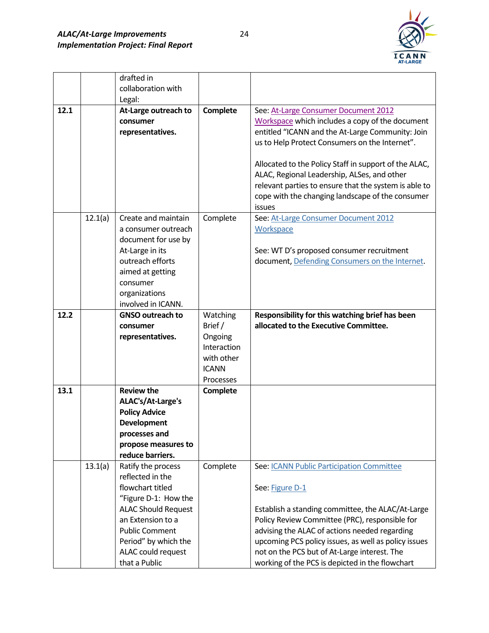

|      |         | drafted in<br>collaboration with |                        |                                                       |
|------|---------|----------------------------------|------------------------|-------------------------------------------------------|
|      |         | Legal:                           |                        |                                                       |
| 12.1 |         | At-Large outreach to             | <b>Complete</b>        | See: At-Large Consumer Document 2012                  |
|      |         | consumer                         |                        | Workspace which includes a copy of the document       |
|      |         | representatives.                 |                        | entitled "ICANN and the At-Large Community: Join      |
|      |         |                                  |                        | us to Help Protect Consumers on the Internet".        |
|      |         |                                  |                        |                                                       |
|      |         |                                  |                        | Allocated to the Policy Staff in support of the ALAC, |
|      |         |                                  |                        | ALAC, Regional Leadership, ALSes, and other           |
|      |         |                                  |                        | relevant parties to ensure that the system is able to |
|      |         |                                  |                        | cope with the changing landscape of the consumer      |
|      |         |                                  |                        | issues                                                |
|      | 12.1(a) | Create and maintain              | Complete               | See: At-Large Consumer Document 2012                  |
|      |         | a consumer outreach              |                        | Workspace                                             |
|      |         | document for use by              |                        |                                                       |
|      |         | At-Large in its                  |                        | See: WT D's proposed consumer recruitment             |
|      |         | outreach efforts                 |                        | document, Defending Consumers on the Internet.        |
|      |         | aimed at getting                 |                        |                                                       |
|      |         | consumer                         |                        |                                                       |
|      |         | organizations                    |                        |                                                       |
|      |         | involved in ICANN.               |                        |                                                       |
| 12.2 |         | <b>GNSO outreach to</b>          | Watching               | Responsibility for this watching brief has been       |
|      |         | consumer                         | Brief/                 | allocated to the Executive Committee.                 |
|      |         | representatives.                 | Ongoing<br>Interaction |                                                       |
|      |         |                                  | with other             |                                                       |
|      |         |                                  | <b>ICANN</b>           |                                                       |
|      |         |                                  | Processes              |                                                       |
| 13.1 |         | <b>Review the</b>                | Complete               |                                                       |
|      |         | ALAC's/At-Large's                |                        |                                                       |
|      |         | <b>Policy Advice</b>             |                        |                                                       |
|      |         | <b>Development</b>               |                        |                                                       |
|      |         | processes and                    |                        |                                                       |
|      |         | propose measures to              |                        |                                                       |
|      |         | reduce barriers.                 |                        |                                                       |
|      | 13.1(a) | Ratify the process               | Complete               | See: ICANN Public Participation Committee             |
|      |         | reflected in the                 |                        |                                                       |
|      |         | flowchart titled                 |                        | See: Figure D-1                                       |
|      |         | "Figure D-1: How the             |                        |                                                       |
|      |         | <b>ALAC Should Request</b>       |                        | Establish a standing committee, the ALAC/At-Large     |
|      |         | an Extension to a                |                        | Policy Review Committee (PRC), responsible for        |
|      |         | <b>Public Comment</b>            |                        | advising the ALAC of actions needed regarding         |
|      |         | Period" by which the             |                        | upcoming PCS policy issues, as well as policy issues  |
|      |         | ALAC could request               |                        | not on the PCS but of At-Large interest. The          |
|      |         | that a Public                    |                        | working of the PCS is depicted in the flowchart       |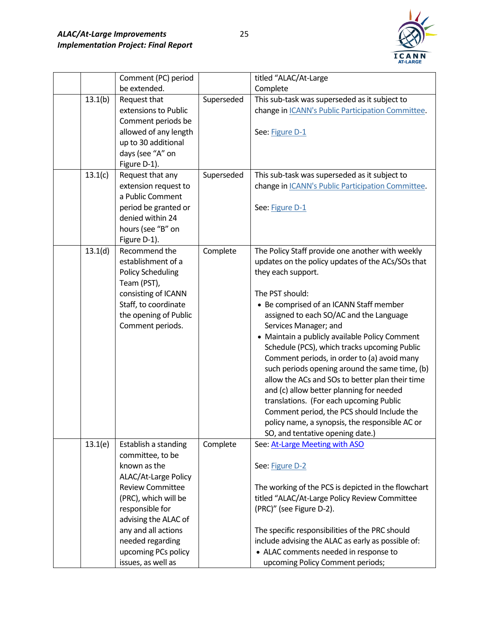

|         | Comment (PC) period      |            | titled "ALAC/At-Large                               |
|---------|--------------------------|------------|-----------------------------------------------------|
|         | be extended.             |            | Complete                                            |
| 13.1(b) | Request that             | Superseded | This sub-task was superseded as it subject to       |
|         | extensions to Public     |            | change in ICANN's Public Participation Committee.   |
|         | Comment periods be       |            |                                                     |
|         | allowed of any length    |            | See: Figure D-1                                     |
|         | up to 30 additional      |            |                                                     |
|         | days (see "A" on         |            |                                                     |
|         | Figure D-1).             |            |                                                     |
| 13.1(c) | Request that any         | Superseded | This sub-task was superseded as it subject to       |
|         | extension request to     |            | change in ICANN's Public Participation Committee.   |
|         | a Public Comment         |            |                                                     |
|         | period be granted or     |            | See: Figure D-1                                     |
|         | denied within 24         |            |                                                     |
|         | hours (see "B" on        |            |                                                     |
|         | Figure D-1).             |            |                                                     |
| 13.1(d) | Recommend the            | Complete   | The Policy Staff provide one another with weekly    |
|         | establishment of a       |            | updates on the policy updates of the ACs/SOs that   |
|         | <b>Policy Scheduling</b> |            | they each support.                                  |
|         | Team (PST),              |            |                                                     |
|         | consisting of ICANN      |            | The PST should:                                     |
|         | Staff, to coordinate     |            | • Be comprised of an ICANN Staff member             |
|         | the opening of Public    |            | assigned to each SO/AC and the Language             |
|         | Comment periods.         |            | Services Manager; and                               |
|         |                          |            | • Maintain a publicly available Policy Comment      |
|         |                          |            | Schedule (PCS), which tracks upcoming Public        |
|         |                          |            | Comment periods, in order to (a) avoid many         |
|         |                          |            | such periods opening around the same time, (b)      |
|         |                          |            | allow the ACs and SOs to better plan their time     |
|         |                          |            | and (c) allow better planning for needed            |
|         |                          |            | translations. (For each upcoming Public             |
|         |                          |            | Comment period, the PCS should Include the          |
|         |                          |            | policy name, a synopsis, the responsible AC or      |
|         |                          |            | SO, and tentative opening date.)                    |
| 13.1(e) | Establish a standing     | Complete   | See: At-Large Meeting with ASO                      |
|         | committee, to be         |            |                                                     |
|         | known as the             |            | See: Figure D-2                                     |
|         | ALAC/At-Large Policy     |            |                                                     |
|         | <b>Review Committee</b>  |            | The working of the PCS is depicted in the flowchart |
|         | (PRC), which will be     |            | titled "ALAC/At-Large Policy Review Committee       |
|         | responsible for          |            | (PRC)" (see Figure D-2).                            |
|         | advising the ALAC of     |            |                                                     |
|         | any and all actions      |            | The specific responsibilities of the PRC should     |
|         | needed regarding         |            | include advising the ALAC as early as possible of:  |
|         | upcoming PCs policy      |            | • ALAC comments needed in response to               |
|         | issues, as well as       |            | upcoming Policy Comment periods;                    |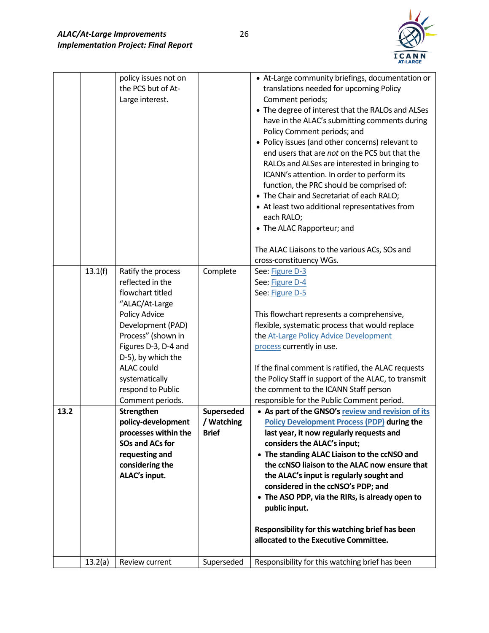

|      |         | policy issues not on<br>the PCS but of At-<br>Large interest.                                                                                                                                                                                                                                                                                                                                                             |                                                      | • At-Large community briefings, documentation or<br>translations needed for upcoming Policy<br>Comment periods;<br>• The degree of interest that the RALOs and ALSes<br>have in the ALAC's submitting comments during<br>Policy Comment periods; and<br>• Policy issues (and other concerns) relevant to<br>end users that are not on the PCS but that the<br>RALOs and ALSes are interested in bringing to<br>ICANN's attention. In order to perform its<br>function, the PRC should be comprised of:<br>• The Chair and Secretariat of each RALO;<br>• At least two additional representatives from<br>each RALO;<br>• The ALAC Rapporteur; and<br>The ALAC Liaisons to the various ACs, SOs and                                                                                                                                                                                                                                                                                                       |
|------|---------|---------------------------------------------------------------------------------------------------------------------------------------------------------------------------------------------------------------------------------------------------------------------------------------------------------------------------------------------------------------------------------------------------------------------------|------------------------------------------------------|----------------------------------------------------------------------------------------------------------------------------------------------------------------------------------------------------------------------------------------------------------------------------------------------------------------------------------------------------------------------------------------------------------------------------------------------------------------------------------------------------------------------------------------------------------------------------------------------------------------------------------------------------------------------------------------------------------------------------------------------------------------------------------------------------------------------------------------------------------------------------------------------------------------------------------------------------------------------------------------------------------|
| 13.2 | 13.1(f) | Ratify the process<br>reflected in the<br>flowchart titled<br>"ALAC/At-Large<br>Policy Advice<br>Development (PAD)<br>Process" (shown in<br>Figures D-3, D-4 and<br>D-5), by which the<br><b>ALAC</b> could<br>systematically<br>respond to Public<br>Comment periods.<br>Strengthen<br>policy-development<br>processes within the<br><b>SOs and ACs for</b><br>requesting and<br>considering the<br><b>ALAC's input.</b> | Complete<br>Superseded<br>/ Watching<br><b>Brief</b> | cross-constituency WGs.<br>See: Figure D-3<br>See: Figure D-4<br>See: Figure D-5<br>This flowchart represents a comprehensive,<br>flexible, systematic process that would replace<br>the At-Large Policy Advice Development<br>process currently in use.<br>If the final comment is ratified, the ALAC requests<br>the Policy Staff in support of the ALAC, to transmit<br>the comment to the ICANN Staff person<br>responsible for the Public Comment period.<br>• As part of the GNSO's review and revision of its<br><b>Policy Development Process (PDP) during the</b><br>last year, it now regularly requests and<br>considers the ALAC's input;<br>• The standing ALAC Liaison to the ccNSO and<br>the ccNSO liaison to the ALAC now ensure that<br>the ALAC's input is regularly sought and<br>considered in the ccNSO's PDP; and<br>• The ASO PDP, via the RIRs, is already open to<br>public input.<br>Responsibility for this watching brief has been<br>allocated to the Executive Committee. |
|      | 13.2(a) | Review current                                                                                                                                                                                                                                                                                                                                                                                                            | Superseded                                           | Responsibility for this watching brief has been                                                                                                                                                                                                                                                                                                                                                                                                                                                                                                                                                                                                                                                                                                                                                                                                                                                                                                                                                          |